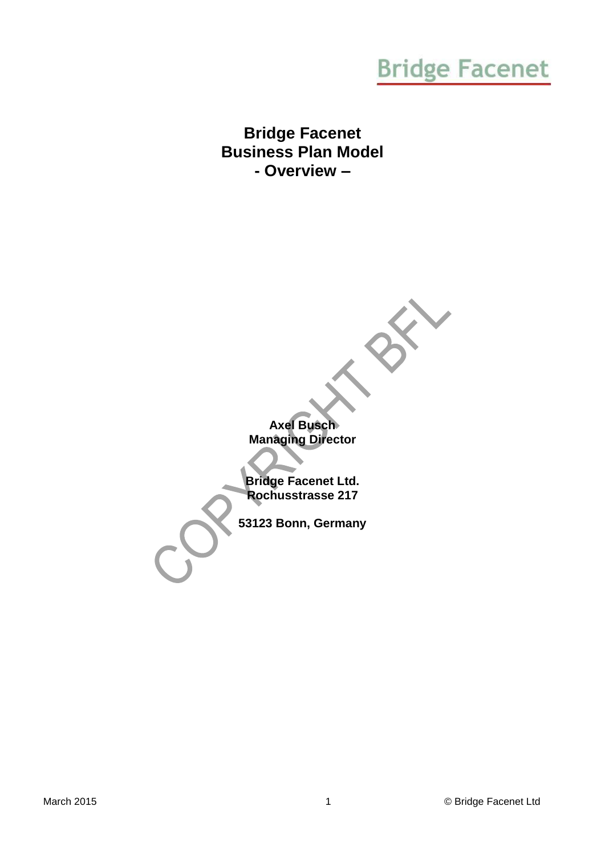### **Bridge Facenet Business Plan Model - Overview –**

**Axel Busch Managing Director**

**Bridge Facenet Ltd. Rochusstrasse 217**

**53123 Bonn, Germany**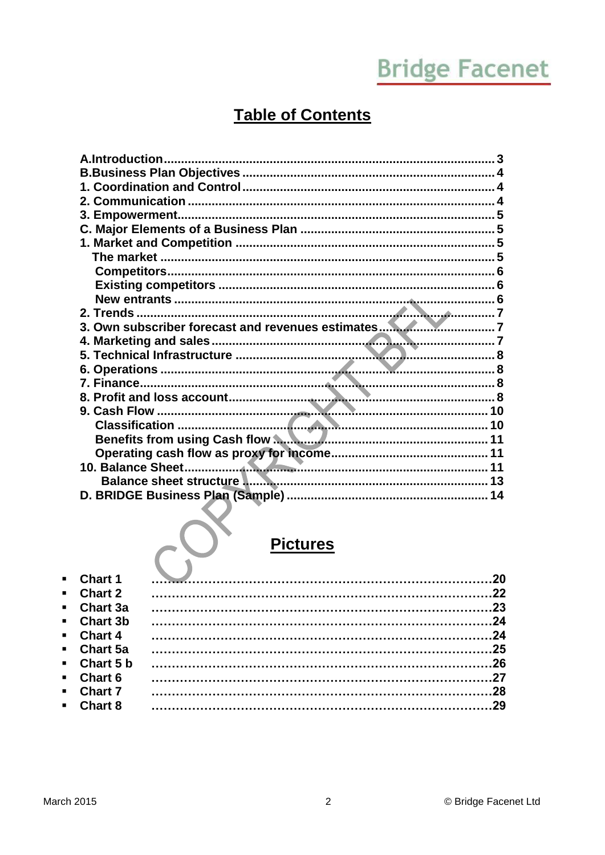### **Table of Contents**

| Benefits from using Cash flow <b>Manual Community of the Senefits from using Cash flow Manual Community</b> 11 |    |
|----------------------------------------------------------------------------------------------------------------|----|
|                                                                                                                |    |
|                                                                                                                |    |
| Balance sheet structure <b>Manual Communistion and Structure and Structure II</b>                              |    |
|                                                                                                                |    |
|                                                                                                                |    |
|                                                                                                                |    |
|                                                                                                                |    |
| <b>Pictures</b>                                                                                                |    |
|                                                                                                                |    |
| Chart 1                                                                                                        | 20 |

| $\blacksquare$ Chart 1   |  |
|--------------------------|--|
| $\blacksquare$ Chart 2   |  |
| $\blacksquare$ Chart 3a  |  |
| • Chart 3b               |  |
| $\blacksquare$ Chart 4   |  |
| $\blacksquare$ Chart 5a  |  |
| $\blacksquare$ Chart 5 b |  |
| $\blacksquare$ Chart 6   |  |
| <b>Chart 7</b>           |  |
| $\blacksquare$ Chart 8   |  |
|                          |  |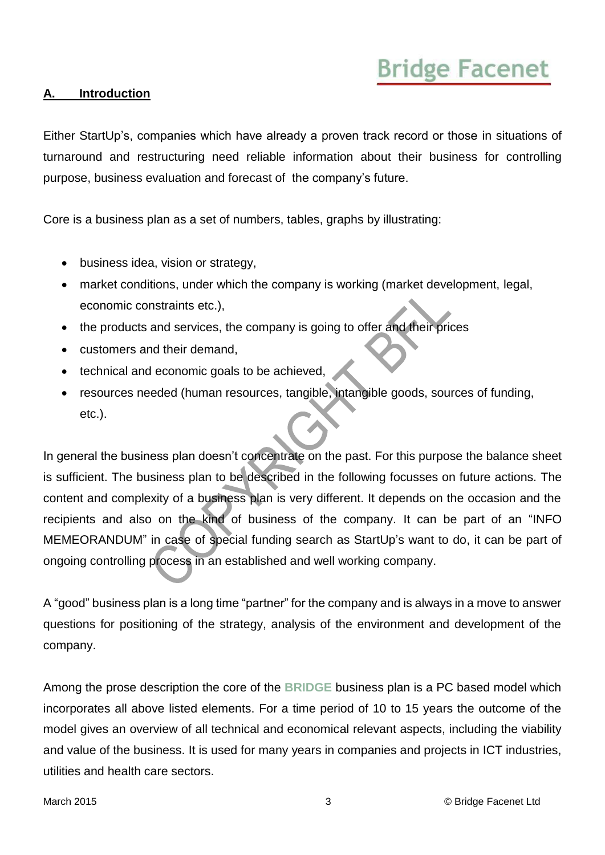#### <span id="page-2-0"></span>**A. Introduction**

Either StartUp's, companies which have already a proven track record or those in situations of turnaround and restructuring need reliable information about their business for controlling purpose, business evaluation and forecast of the company's future.

Core is a business plan as a set of numbers, tables, graphs by illustrating:

- business idea, vision or strategy,
- market conditions, under which the company is working (market development, legal, economic constraints etc.),
- the products and services, the company is going to offer and their prices
- customers and their demand,
- technical and economic goals to be achieved,
- resources needed (human resources, tangible, intangible goods, sources of funding, etc.).

In general the business plan doesn't concentrate on the past. For this purpose the balance sheet is sufficient. The business plan to be described in the following focusses on future actions. The content and complexity of a business plan is very different. It depends on the occasion and the recipients and also on the kind of business of the company. It can be part of an "INFO MEMEORANDUM" in case of special funding search as StartUp's want to do, it can be part of ongoing controlling process in an established and well working company.

A "good" business plan is a long time "partner" for the company and is always in a move to answer questions for positioning of the strategy, analysis of the environment and development of the company.

Among the prose description the core of the **BRIDGE** business plan is a PC based model which incorporates all above listed elements. For a time period of 10 to 15 years the outcome of the model gives an overview of all technical and economical relevant aspects, including the viability and value of the business. It is used for many years in companies and projects in ICT industries, utilities and health care sectors.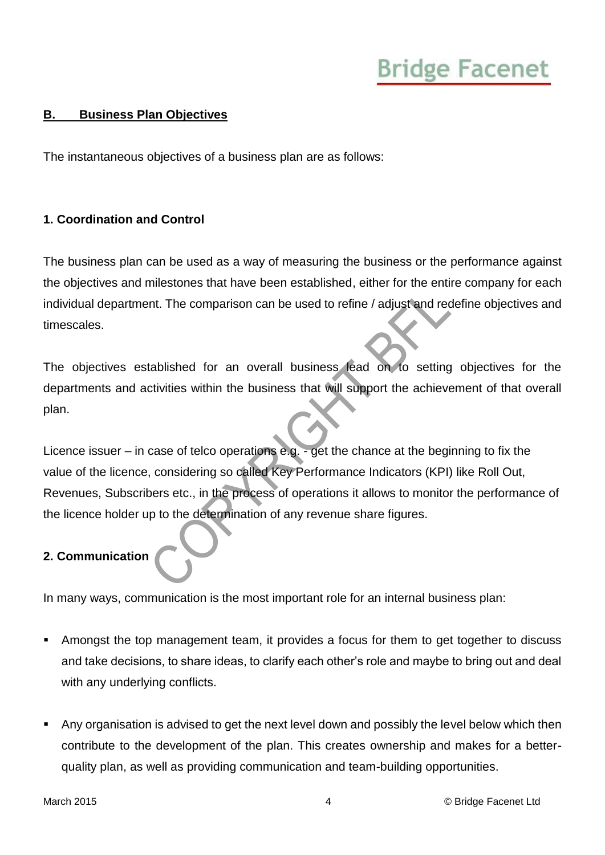#### <span id="page-3-0"></span>**B. Business Plan Objectives**

The instantaneous objectives of a business plan are as follows:

#### <span id="page-3-1"></span>**1. Coordination and Control**

The business plan can be used as a way of measuring the business or the performance against the objectives and milestones that have been established, either for the entire company for each individual department. The comparison can be used to refine / adjust and redefine objectives and timescales.

The objectives established for an overall business lead on to setting objectives for the departments and activities within the business that will support the achievement of that overall plan.

Licence issuer – in case of telco operations e.g. - get the chance at the beginning to fix the value of the licence, considering so called Key Performance Indicators (KPI) like Roll Out, Revenues, Subscribers etc., in the process of operations it allows to monitor the performance of the licence holder up to the determination of any revenue share figures.

#### <span id="page-3-2"></span>**2. Communication**

In many ways, communication is the most important role for an internal business plan:

- Amongst the top management team, it provides a focus for them to get together to discuss and take decisions, to share ideas, to clarify each other's role and maybe to bring out and deal with any underlying conflicts.
- Any organisation is advised to get the next level down and possibly the level below which then contribute to the development of the plan. This creates ownership and makes for a betterquality plan, as well as providing communication and team-building opportunities.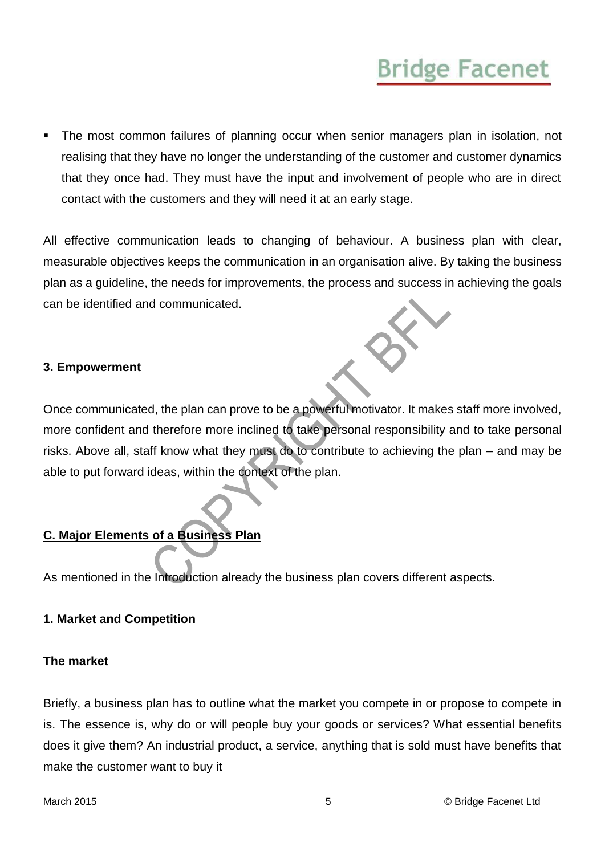The most common failures of planning occur when senior managers plan in isolation, not realising that they have no longer the understanding of the customer and customer dynamics that they once had. They must have the input and involvement of people who are in direct contact with the customers and they will need it at an early stage.

All effective communication leads to changing of behaviour. A business plan with clear, measurable objectives keeps the communication in an organisation alive. By taking the business plan as a guideline, the needs for improvements, the process and success in achieving the goals can be identified and communicated.

#### <span id="page-4-0"></span>**3. Empowerment**

Once communicated, the plan can prove to be a powerful motivator. It makes staff more involved, more confident and therefore more inclined to take personal responsibility and to take personal risks. Above all, staff know what they must do to contribute to achieving the plan – and may be able to put forward ideas, within the context of the plan.

### <span id="page-4-1"></span>**C. Major Elements of a Business Plan**

As mentioned in the Introduction already the business plan covers different aspects.

#### <span id="page-4-2"></span>**1. Market and Competition**

#### <span id="page-4-3"></span>**The market**

Briefly, a business plan has to outline what the market you compete in or propose to compete in is. The essence is, why do or will people buy your goods or services? What essential benefits does it give them? An industrial product, a service, anything that is sold must have benefits that make the customer want to buy it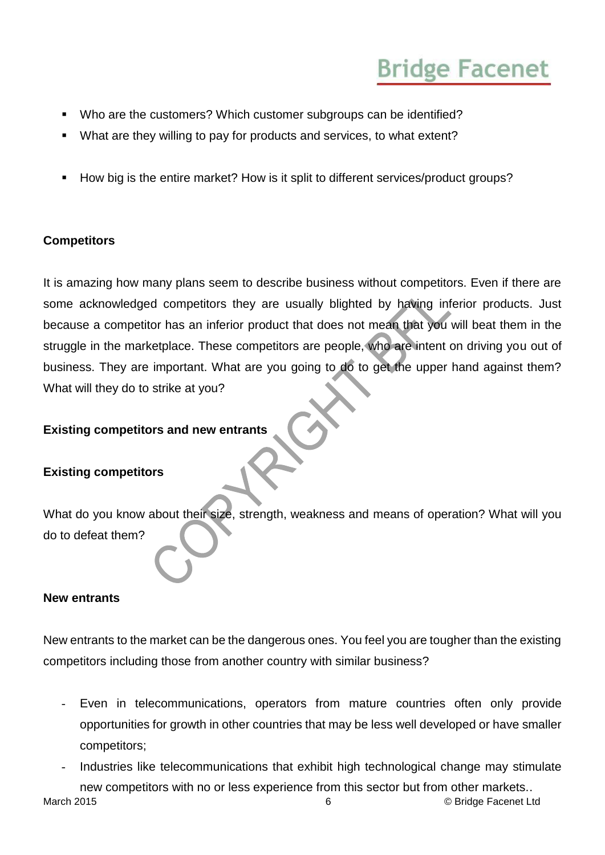- Who are the customers? Which customer subgroups can be identified?
- What are they willing to pay for products and services, to what extent?
- How big is the entire market? How is it split to different services/product groups?

### <span id="page-5-0"></span>**Competitors**

It is amazing how many plans seem to describe business without competitors. Even if there are some acknowledged competitors they are usually blighted by having inferior products. Just because a competitor has an inferior product that does not mean that you will beat them in the struggle in the marketplace. These competitors are people, who are intent on driving you out of business. They are important. What are you going to do to get the upper hand against them? What will they do to strike at you?

### **Existing competitors and new entrants**

### <span id="page-5-1"></span>**Existing competitors**

What do you know about their size, strength, weakness and means of operation? What will you do to defeat them?

#### <span id="page-5-2"></span>**New entrants**

New entrants to the market can be the dangerous ones. You feel you are tougher than the existing competitors including those from another country with similar business?

- Even in telecommunications, operators from mature countries often only provide opportunities for growth in other countries that may be less well developed or have smaller competitors;
- Industries like telecommunications that exhibit high technological change may stimulate new competitors with no or less experience from this sector but from other markets..

March 2015 6 © Bridge Facenet Ltd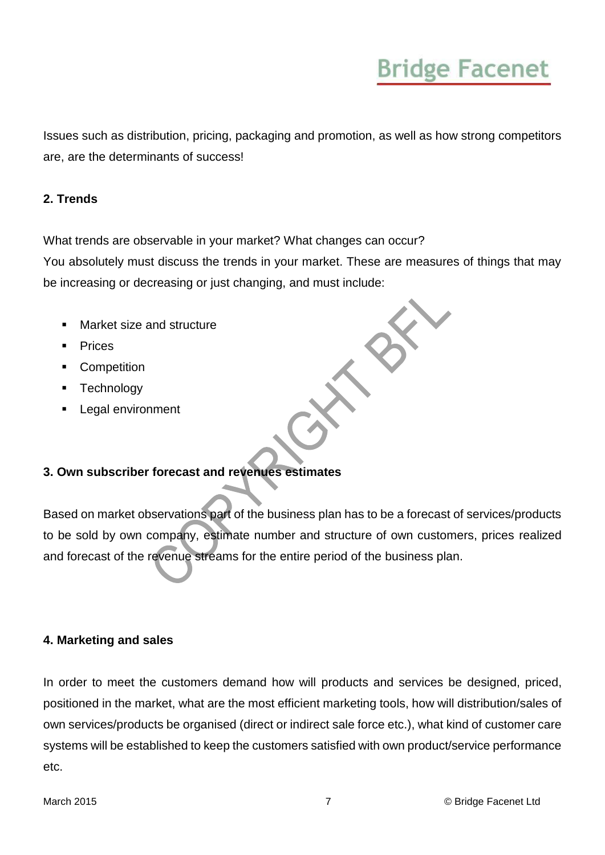Issues such as distribution, pricing, packaging and promotion, as well as how strong competitors are, are the determinants of success!

#### <span id="page-6-0"></span>**2. Trends**

What trends are observable in your market? What changes can occur?

You absolutely must discuss the trends in your market. These are measures of things that may be increasing or decreasing or just changing, and must include:

- Market size and structure
- **Prices**
- **Competition**
- **Technology**
- Legal environment

#### <span id="page-6-1"></span>**3. Own subscriber forecast and revenues estimates**

Based on market observations part of the business plan has to be a forecast of services/products to be sold by own company, estimate number and structure of own customers, prices realized and forecast of the revenue streams for the entire period of the business plan.

#### <span id="page-6-2"></span>**4. Marketing and sales**

In order to meet the customers demand how will products and services be designed, priced, positioned in the market, what are the most efficient marketing tools, how will distribution/sales of own services/products be organised (direct or indirect sale force etc.), what kind of customer care systems will be established to keep the customers satisfied with own product/service performance etc.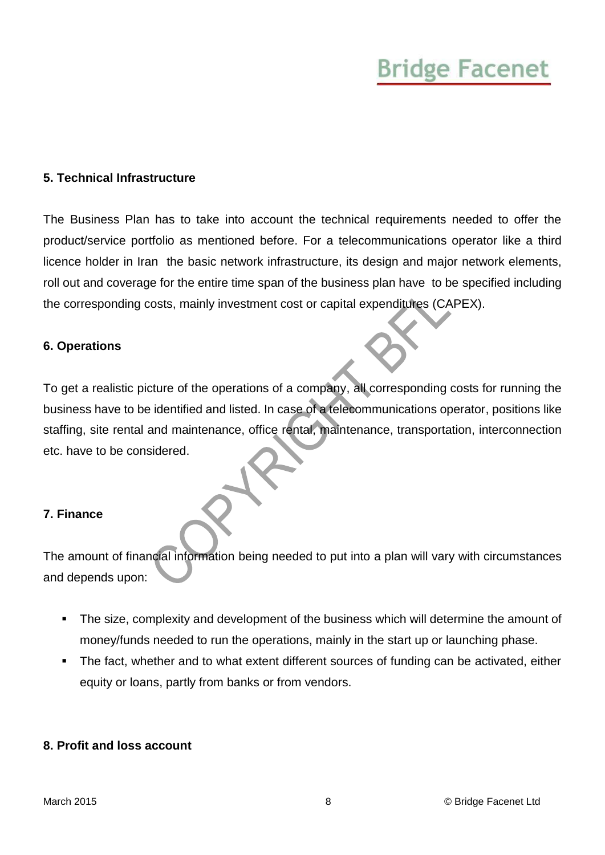#### <span id="page-7-0"></span>**5. Technical Infrastructure**

The Business Plan has to take into account the technical requirements needed to offer the product/service portfolio as mentioned before. For a telecommunications operator like a third licence holder in Iran the basic network infrastructure, its design and major network elements, roll out and coverage for the entire time span of the business plan have to be specified including the corresponding costs, mainly investment cost or capital expenditures (CAPEX).

#### <span id="page-7-1"></span>**6. Operations**

To get a realistic picture of the operations of a company, all corresponding costs for running the business have to be identified and listed. In case of a telecommunications operator, positions like staffing, site rental and maintenance, office rental, maintenance, transportation, interconnection etc. have to be considered.

#### <span id="page-7-2"></span>**7. Finance**

The amount of financial information being needed to put into a plan will vary with circumstances and depends upon:

- The size, complexity and development of the business which will determine the amount of money/funds needed to run the operations, mainly in the start up or launching phase.
- The fact, whether and to what extent different sources of funding can be activated, either equity or loans, partly from banks or from vendors.

#### <span id="page-7-3"></span>**8. Profit and loss account**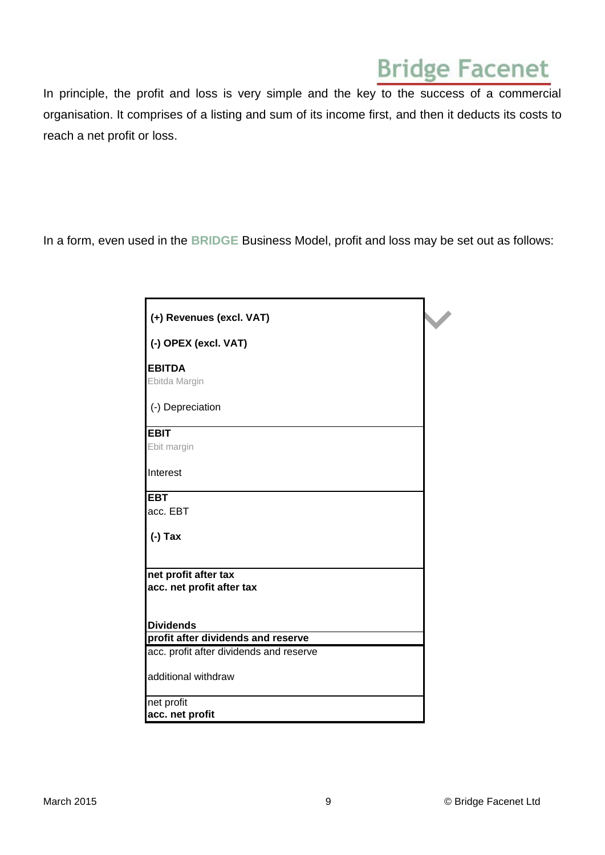In principle, the profit and loss is very simple and the key to the success of a commercial organisation. It comprises of a listing and sum of its income first, and then it deducts its costs to reach a net profit or loss.

In a form, even used in the **BRIDGE** Business Model, profit and loss may be set out as follows:

| (+) Revenues (excl. VAT)                                                      |  |
|-------------------------------------------------------------------------------|--|
| (-) OPEX (excl. VAT)                                                          |  |
| <b>EBITDA</b>                                                                 |  |
| Ebitda Margin                                                                 |  |
| (-) Depreciation                                                              |  |
| <b>EBIT</b>                                                                   |  |
| Ebit margin                                                                   |  |
| Interest                                                                      |  |
| <b>EBT</b>                                                                    |  |
| acc. EBT                                                                      |  |
| $(-)$ Tax                                                                     |  |
|                                                                               |  |
| net profit after tax                                                          |  |
| acc. net profit after tax                                                     |  |
|                                                                               |  |
| <b>Dividends</b>                                                              |  |
| profit after dividends and reserve<br>acc. profit after dividends and reserve |  |
|                                                                               |  |
| additional withdraw                                                           |  |
| net profit                                                                    |  |
| acc. net profit                                                               |  |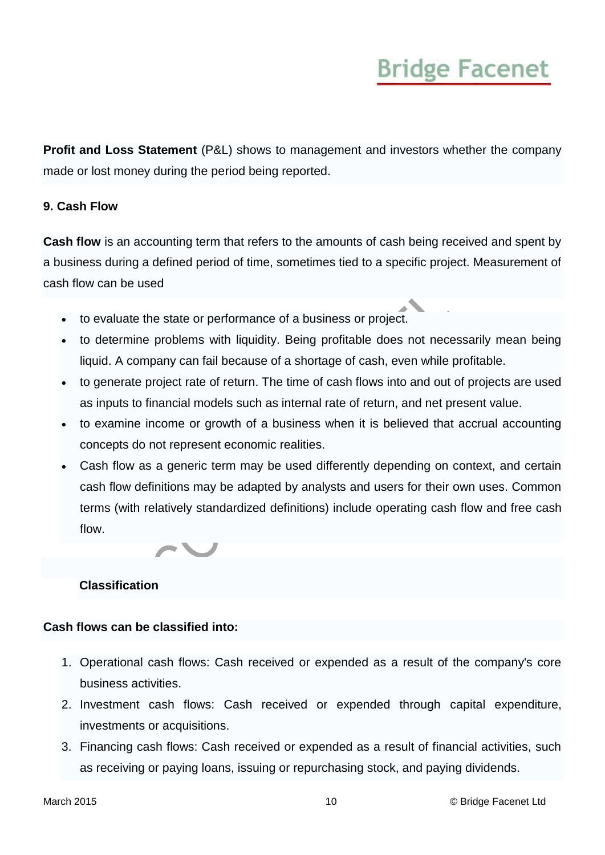**Profit and Loss Statement** (P&L) shows to management and investors whether the company made or lost money during the period being reported.

#### <span id="page-9-0"></span>**9. Cash Flow**

**Cash flow** is an accounting term that refers to the amounts of cash being received and spent by a business during a defined period of time, sometimes tied to a specific project. Measurement of cash flow can be used

- to evaluate the state or performance of a business or project.
- to determine problems with liquidity. Being profitable does not necessarily mean being liquid. A company can fail because of a shortage of cash, even while profitable.
- to generate project rate of return. The time of cash flows into and out of projects are used as inputs to financial models such as internal rate of return, and net present value.
- to examine income or growth of a business when it is believed that accrual accounting concepts do not represent economic realities.
- Cash flow as a generic term may be used differently depending on context, and certain cash flow definitions may be adapted by analysts and users for their own uses. Common terms (with relatively standardized definitions) include operating cash flow and free cash flow.



#### <span id="page-9-1"></span>**Classification**

#### **Cash flows can be classified into:**

- 1. Operational cash flows: Cash received or expended as a result of the company's core business activities.
- 2. Investment cash flows: Cash received or expended through capital expenditure, investments or acquisitions.
- 3. Financing cash flows: Cash received or expended as a result of financial activities, such as receiving or paying loans, issuing or repurchasing stock, and paying dividends.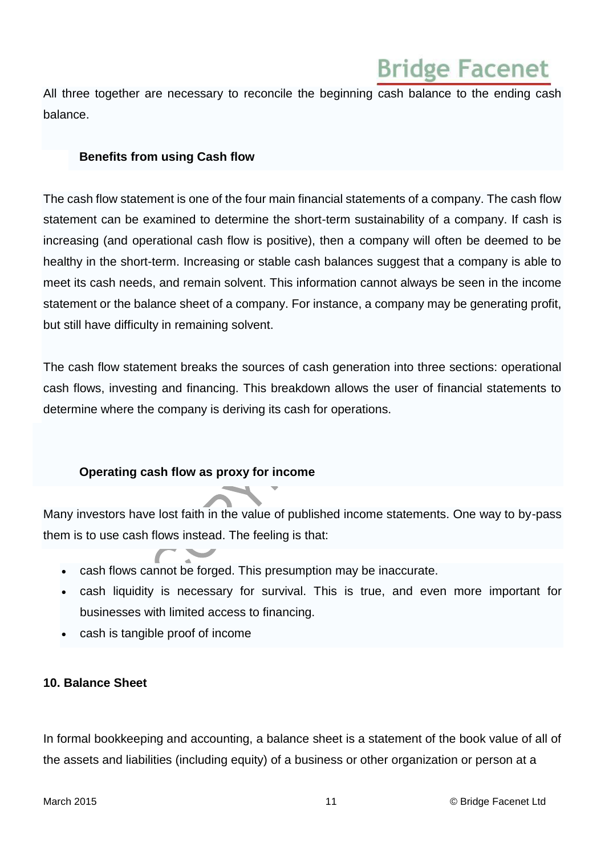All three together are necessary to reconcile the beginning cash balance to the ending cash balance.

#### <span id="page-10-0"></span>**Benefits from using Cash flow**

The cash flow statement is one of the four main financial statements of a company. The cash flow statement can be examined to determine the short-term sustainability of a company. If cash is increasing (and operational cash flow is positive), then a company will often be deemed to be healthy in the short-term. Increasing or stable cash balances suggest that a company is able to meet its cash needs, and remain solvent. This information cannot always be seen in the income statement or the balance sheet of a company. For instance, a company may be generating profit, but still have difficulty in remaining solvent.

The cash flow statement breaks the sources of cash generation into three sections: operational cash flows, investing and financing. This breakdown allows the user of financial statements to determine where the company is deriving its cash for operations.

#### <span id="page-10-1"></span>**Operating cash flow as proxy for income**

Many investors have lost faith in the value of published income statements. One way to by-pass them is to use cash flows instead. The feeling is that:

- cash flows cannot be forged. This presumption may be inaccurate.
- cash liquidity is necessary for survival. This is true, and even more important for businesses with limited access to financing.
- cash is tangible proof of income

#### <span id="page-10-2"></span>**10. Balance Sheet**

In formal bookkeeping and accounting, a balance sheet is a statement of the book value of all of the assets and liabilities (including equity) of a business or other organization or person at a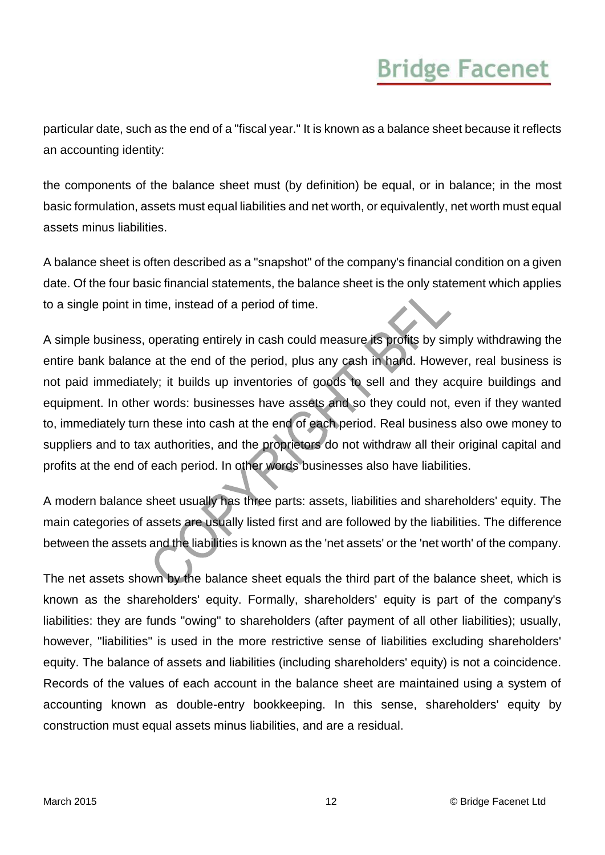particular date, such as the end of a "fiscal year." It is known as a balance sheet because it reflects an accounting identity:

the components of the balance sheet must (by definition) be equal, or in balance; in the most basic formulation, assets must equal liabilities and net worth, or equivalently, net worth must equal assets minus liabilities.

A balance sheet is often described as a "snapshot" of the company's financial condition on a given date. Of the four basic financial statements, the balance sheet is the only statement which applies to a single point in time, instead of a period of time.

A simple business, operating entirely in cash could measure its profits by simply withdrawing the entire bank balance at the end of the period, plus any cash in hand. However, real business is not paid immediately; it builds up inventories of goods to sell and they acquire buildings and equipment. In other words: businesses have assets and so they could not, even if they wanted to, immediately turn these into cash at the end of each period. Real business also owe money to suppliers and to tax authorities, and the proprietors do not withdraw all their original capital and profits at the end of each period. In other words businesses also have liabilities.

A modern balance sheet usually has three parts: assets, liabilities and shareholders' equity. The main categories of assets are usually listed first and are followed by the liabilities. The difference between the assets and the liabilities is known as the 'net assets' or the 'net worth' of the company.

The net assets shown by the balance sheet equals the third part of the balance sheet, which is known as the shareholders' equity. Formally, shareholders' equity is part of the company's liabilities: they are funds "owing" to shareholders (after payment of all other liabilities); usually, however, "liabilities" is used in the more restrictive sense of liabilities excluding shareholders' equity. The balance of assets and liabilities (including shareholders' equity) is not a coincidence. Records of the values of each account in the balance sheet are maintained using a system of accounting known as double-entry bookkeeping. In this sense, shareholders' equity by construction must equal assets minus liabilities, and are a residual.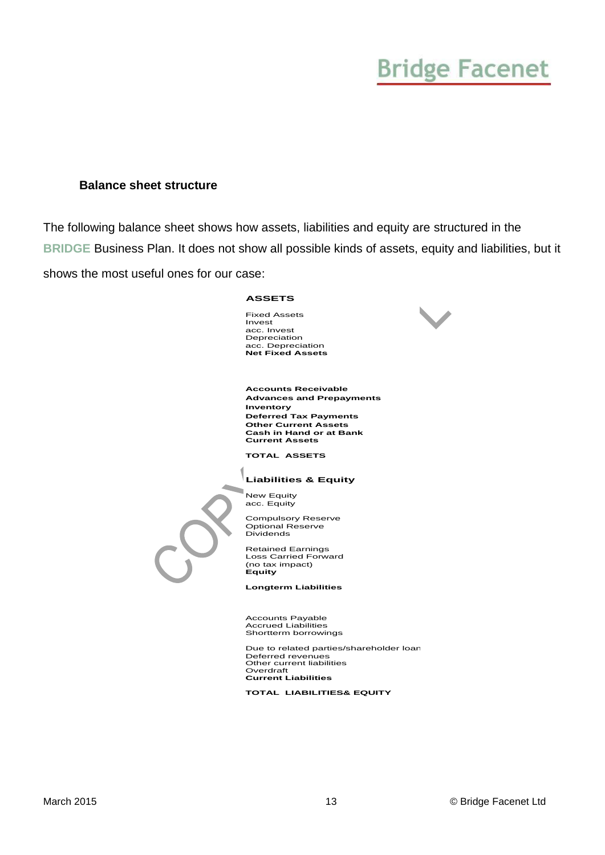#### <span id="page-12-0"></span>**Balance sheet structure**

The following balance sheet shows how assets, liabilities and equity are structured in the **BRIDGE** Business Plan. It does not show all possible kinds of assets, equity and liabilities, but it shows the most useful ones for our case:

#### **ASSETS**

Fixed Assets Invest acc. Invest Depreciation acc. Depreciation **Net Fixed Assets**



**Accounts Receivable Advances and Prepayments Inventory Deferred Tax Payments Other Current Assets Cash in Hand or at Bank Current Assets**

**TOTAL ASSETS** 

#### **Liabilities & Equity**

New Equity acc. Equity

٦

Compulsory Reserve Optional Reserve Dividends

Retained Earnings Loss Carried Forward (no tax impact) **Equity**

**Longterm Liabilities**

Accounts Payable Accrued Liabilities Shortterm borrowings

Due to related parties/shareholder loan Deferred revenues Other current liabilities Overdraft **Current Liabilities**

**TOTAL LIABILITIES& EQUITY**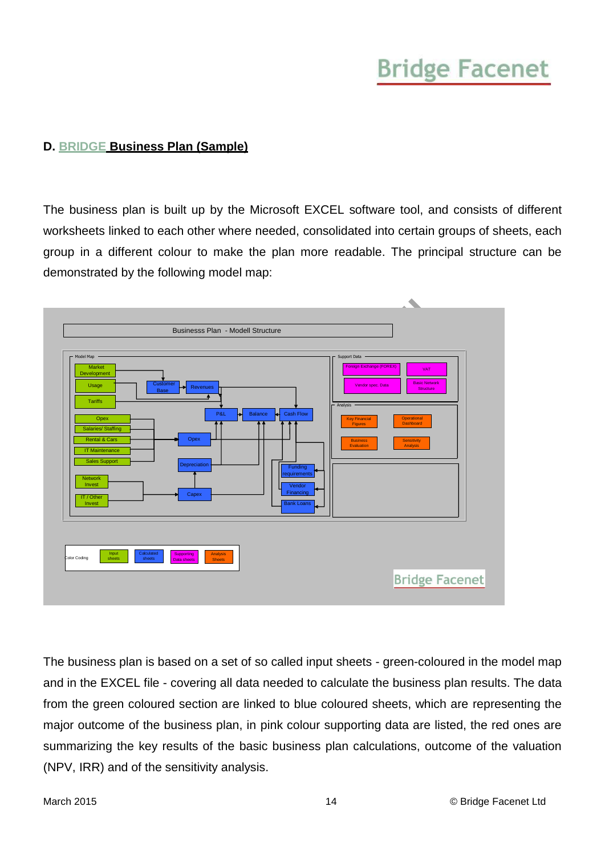### <span id="page-13-0"></span>**D. BRIDGE Business Plan (Sample)**

The business plan is built up by the Microsoft EXCEL software tool, and consists of different worksheets linked to each other where needed, consolidated into certain groups of sheets, each group in a different colour to make the plan more readable. The principal structure can be demonstrated by the following model map:



The business plan is based on a set of so called input sheets - green-coloured in the model map and in the EXCEL file - covering all data needed to calculate the business plan results. The data from the green coloured section are linked to blue coloured sheets, which are representing the major outcome of the business plan, in pink colour supporting data are listed, the red ones are summarizing the key results of the basic business plan calculations, outcome of the valuation (NPV, IRR) and of the sensitivity analysis.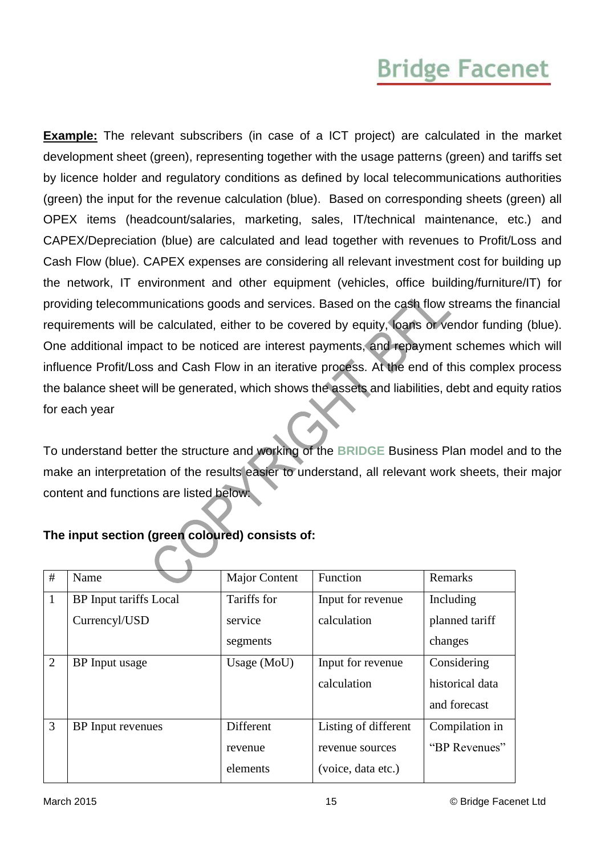**Example:** The relevant subscribers (in case of a ICT project) are calculated in the market development sheet (green), representing together with the usage patterns (green) and tariffs set by licence holder and regulatory conditions as defined by local telecommunications authorities (green) the input for the revenue calculation (blue). Based on corresponding sheets (green) all OPEX items (headcount/salaries, marketing, sales, IT/technical maintenance, etc.) and CAPEX/Depreciation (blue) are calculated and lead together with revenues to Profit/Loss and Cash Flow (blue). CAPEX expenses are considering all relevant investment cost for building up the network, IT environment and other equipment (vehicles, office building/furniture/IT) for providing telecommunications goods and services. Based on the cash flow streams the financial requirements will be calculated, either to be covered by equity, loans or vendor funding (blue). One additional impact to be noticed are interest payments, and repayment schemes which will influence Profit/Loss and Cash Flow in an iterative process. At the end of this complex process the balance sheet will be generated, which shows the assets and liabilities, debt and equity ratios for each year

To understand better the structure and working of the **BRIDGE** Business Plan model and to the make an interpretation of the results easier to understand, all relevant work sheets, their major content and functions are listed below:

| #              | Name                          | Major Content | Function             | Remarks         |
|----------------|-------------------------------|---------------|----------------------|-----------------|
| $\mathbf{1}$   | <b>BP</b> Input tariffs Local | Tariffs for   | Input for revenue    | Including       |
|                | Currencyl/USD                 | service       | calculation          | planned tariff  |
|                |                               | segments      |                      | changes         |
| $\overline{2}$ | BP Input usage                | Usage $(MoU)$ | Input for revenue    | Considering     |
|                |                               |               | calculation          | historical data |
|                |                               |               |                      | and forecast    |
| 3              | <b>BP</b> Input revenues      | Different     | Listing of different | Compilation in  |
|                |                               | revenue       | revenue sources      | "BP Revenues"   |
|                |                               | elements      | (voice, data etc.)   |                 |

### **The input section (green coloured) consists of:**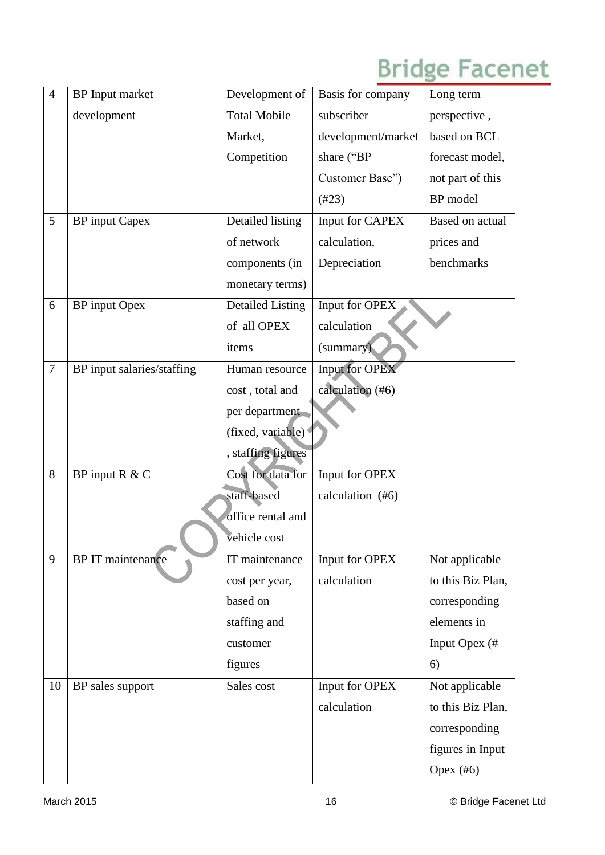| $\overline{4}$ | <b>BP</b> Input market     | Development of          | Basis for company     | Long term         |
|----------------|----------------------------|-------------------------|-----------------------|-------------------|
|                | development                | <b>Total Mobile</b>     | subscriber            | perspective,      |
|                |                            | Market,                 | development/market    | based on BCL      |
|                |                            | Competition             | share ("BP            | forecast model,   |
|                |                            |                         | Customer Base")       | not part of this  |
|                |                            |                         | (#23)                 | BP model          |
| 5              | <b>BP</b> input Capex      | Detailed listing        | Input for CAPEX       | Based on actual   |
|                |                            | of network              | calculation,          | prices and        |
|                |                            | components (in          | Depreciation          | benchmarks        |
|                |                            | monetary terms)         |                       |                   |
| 6              | BP input Opex              | <b>Detailed Listing</b> | Input for OPEX        |                   |
|                |                            | of all OPEX             | calculation           |                   |
|                |                            | items                   | (summary)             |                   |
| $\overline{7}$ | BP input salaries/staffing | Human resource          | <b>Input for OPEX</b> |                   |
|                |                            | cost, total and         | calculation (#6)      |                   |
|                |                            | per department          |                       |                   |
|                |                            | (fixed, variable)       |                       |                   |
|                |                            | , staffing figures      |                       |                   |
| 8              | BP input R & C             | Cost for data for       | Input for OPEX        |                   |
|                |                            | staff-based             | calculation (#6)      |                   |
|                |                            | office rental and       |                       |                   |
|                |                            | vehicle cost            |                       |                   |
| 9              | <b>BP</b> IT maintenance   | IT maintenance          | Input for OPEX        | Not applicable    |
|                |                            | cost per year,          | calculation           | to this Biz Plan, |
|                |                            | based on                |                       | corresponding     |
|                |                            | staffing and            |                       | elements in       |
|                |                            | customer                |                       | Input Opex (#     |
|                |                            | figures                 |                       | 6)                |
| 10             | BP sales support           | Sales cost              | Input for OPEX        | Not applicable    |
|                |                            |                         | calculation           | to this Biz Plan, |
|                |                            |                         |                       | corresponding     |
|                |                            |                         |                       | figures in Input  |
|                |                            |                         |                       | Opex $(#6)$       |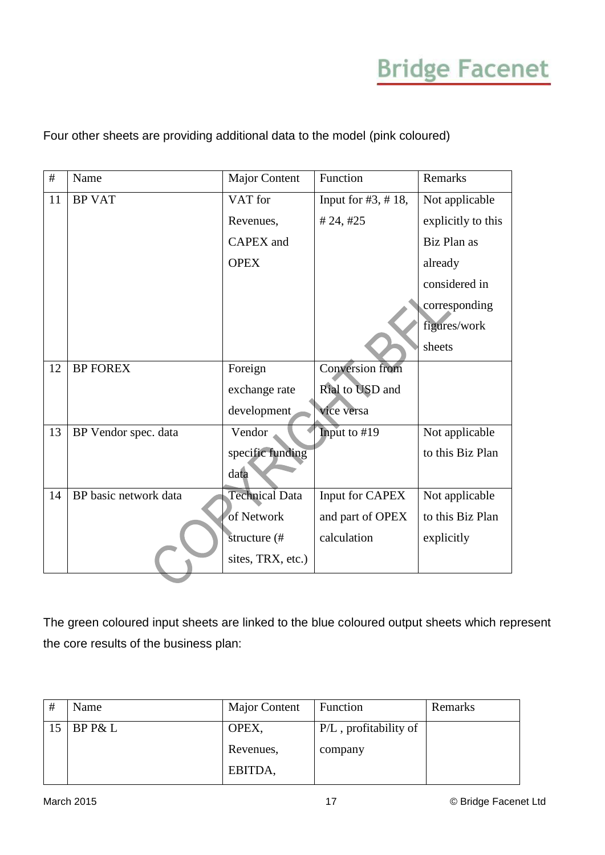### Four other sheets are providing additional data to the model (pink coloured)

| #  | Name                  | <b>Major Content</b>  | Function             | Remarks            |
|----|-----------------------|-----------------------|----------------------|--------------------|
| 11 | <b>BP VAT</b>         | VAT for               | Input for $#3, #18,$ | Not applicable     |
|    |                       | Revenues,             | #24, #25             | explicitly to this |
|    |                       | <b>CAPEX</b> and      |                      | Biz Plan as        |
|    |                       | <b>OPEX</b>           |                      | already            |
|    |                       |                       |                      | considered in      |
|    |                       |                       |                      | corresponding      |
|    |                       |                       |                      | figures/work       |
|    |                       |                       |                      | sheets             |
| 12 | <b>BP FOREX</b>       | Foreign               | Conversion from      |                    |
|    |                       | exchange rate         | Rial to USD and      |                    |
|    |                       | development           | vice versa           |                    |
| 13 | BP Vendor spec. data  | Vendor                | Input to #19         | Not applicable     |
|    |                       | specific funding      |                      | to this Biz Plan   |
|    |                       | data                  |                      |                    |
| 14 | BP basic network data | <b>Technical Data</b> | Input for CAPEX      | Not applicable     |
|    |                       | of Network            | and part of OPEX     | to this Biz Plan   |
|    |                       | structure (#          | calculation          | explicitly         |
|    |                       | sites, TRX, etc.)     |                      |                    |

The green coloured input sheets are linked to the blue coloured output sheets which represent the core results of the business plan:

| # | Name    | Major Content | Function              | Remarks |
|---|---------|---------------|-----------------------|---------|
|   | BP P& L | OPEX,         | P/L, profitability of |         |
|   |         | Revenues,     | company               |         |
|   |         | EBITDA,       |                       |         |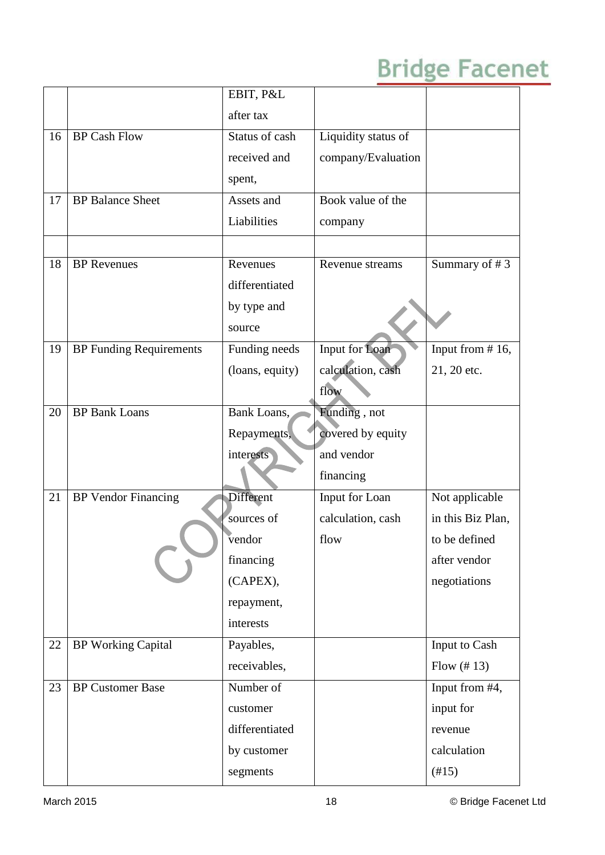|    |                                | EBIT, P&L       |                     |                     |
|----|--------------------------------|-----------------|---------------------|---------------------|
|    |                                | after tax       |                     |                     |
| 16 | <b>BP Cash Flow</b>            | Status of cash  | Liquidity status of |                     |
|    |                                | received and    | company/Evaluation  |                     |
|    |                                | spent,          |                     |                     |
| 17 | <b>BP</b> Balance Sheet        | Assets and      | Book value of the   |                     |
|    |                                | Liabilities     | company             |                     |
|    |                                |                 |                     |                     |
| 18 | <b>BP</b> Revenues             | Revenues        | Revenue streams     | Summary of #3       |
|    |                                | differentiated  |                     |                     |
|    |                                | by type and     |                     |                     |
|    |                                | source          |                     |                     |
| 19 | <b>BP Funding Requirements</b> | Funding needs   | Input for Loan      | Input from $# 16$ , |
|    |                                | (loans, equity) | calculation, cash   | 21, 20 etc.         |
|    |                                |                 | flow                |                     |
| 20 | <b>BP Bank Loans</b>           | Bank Loans,     | Funding, not        |                     |
|    |                                | Repayments,     | covered by equity   |                     |
|    |                                | interests       | and vendor          |                     |
|    |                                |                 | financing           |                     |
| 21 | <b>BP</b> Vendor Financing     | Different       | Input for Loan      | Not applicable      |
|    |                                | sources of      | calculation, cash   | in this Biz Plan,   |
|    |                                | vendor          | flow                | to be defined       |
|    |                                | financing       |                     | after vendor        |
|    |                                | (CAPEX),        |                     | negotiations        |
|    |                                | repayment,      |                     |                     |
|    |                                | interests       |                     |                     |
| 22 | <b>BP Working Capital</b>      | Payables,       |                     | Input to Cash       |
|    |                                | receivables,    |                     | Flow $(\# 13)$      |
| 23 | <b>BP Customer Base</b>        | Number of       |                     | Input from #4,      |
|    |                                | customer        |                     | input for           |
|    |                                | differentiated  |                     | revenue             |
|    |                                | by customer     |                     | calculation         |
|    |                                | segments        |                     | (#15)               |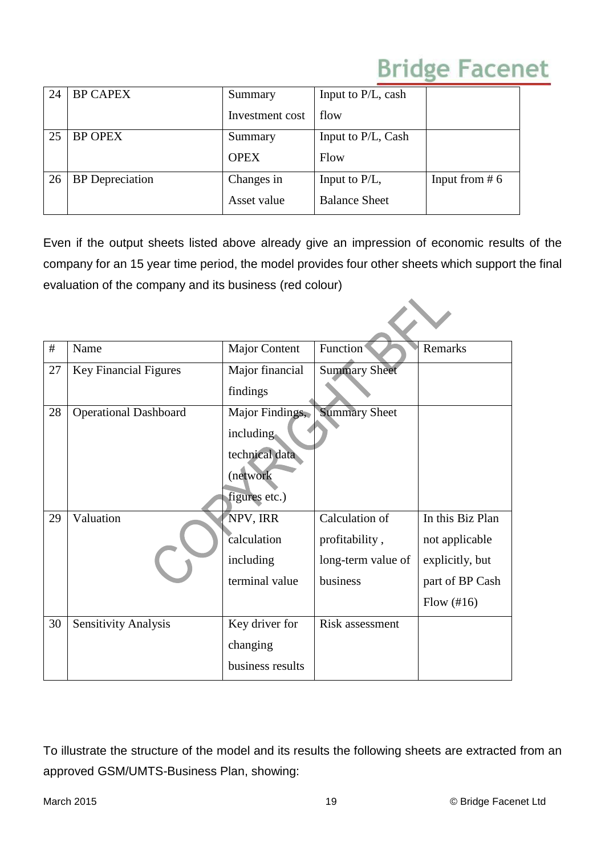| 24 | <b>BP CAPEX</b>        | Summary         | Input to P/L, cash   |                  |
|----|------------------------|-----------------|----------------------|------------------|
|    |                        | Investment cost | flow                 |                  |
| 25 | <b>BP OPEX</b>         | Summary         | Input to P/L, Cash   |                  |
|    |                        | <b>OPEX</b>     | Flow                 |                  |
| 26 | <b>BP</b> Depreciation | Changes in      | Input to $P/L$ ,     | Input from $# 6$ |
|    |                        | Asset value     | <b>Balance Sheet</b> |                  |

Even if the output sheets listed above already give an impression of economic results of the company for an 15 year time period, the model provides four other sheets which support the final evaluation of the company and its business (red colour)

| #  | Name                         | <b>Major Content</b> | Function               | Remarks              |
|----|------------------------------|----------------------|------------------------|----------------------|
| 27 | <b>Key Financial Figures</b> | Major financial      | <b>Summary Sheet</b>   |                      |
|    |                              | findings             |                        |                      |
| 28 | <b>Operational Dashboard</b> | Major Findings,      | <b>Summary Sheet</b>   |                      |
|    |                              | including.           |                        |                      |
|    |                              | technical data       |                        |                      |
|    |                              | (network             |                        |                      |
|    |                              | figures etc.)        |                        |                      |
| 29 | Valuation                    | NPV, IRR             | Calculation of         | In this Biz Plan     |
|    |                              | calculation          | profitability,         | not applicable       |
|    |                              | including            | long-term value of     | explicitly, but      |
|    |                              | terminal value       | business               | part of BP Cash      |
|    |                              |                      |                        | Flow $(\text{\#}16)$ |
| 30 | <b>Sensitivity Analysis</b>  | Key driver for       | <b>Risk assessment</b> |                      |
|    |                              | changing             |                        |                      |
|    |                              | business results     |                        |                      |

To illustrate the structure of the model and its results the following sheets are extracted from an approved GSM/UMTS-Business Plan, showing: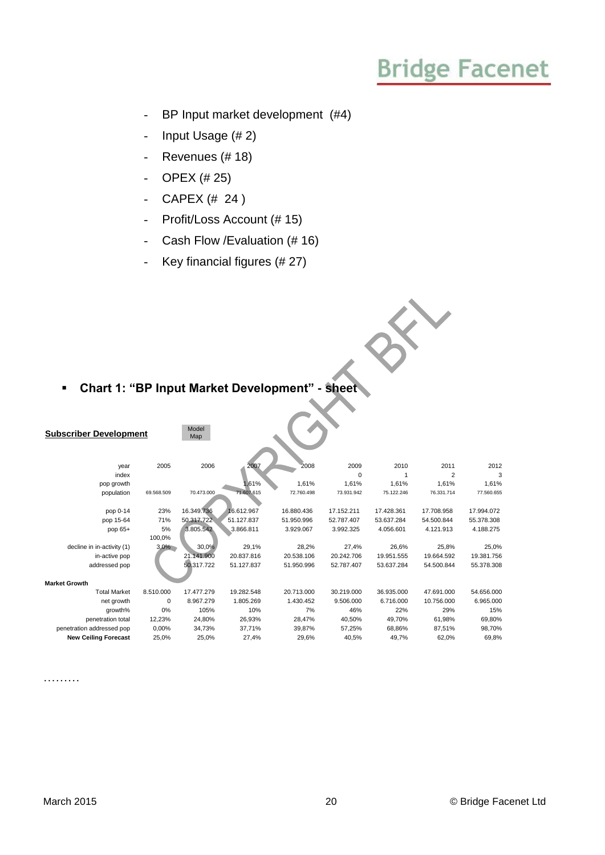$\hat{\mathbf{x}}$ 

- BP Input market development (#4)
- Input Usage (# 2)
- Revenues (# 18)
- OPEX (# 25)
- CAPEX  $(# 24)$
- Profit/Loss Account (# 15)
- Cash Flow /Evaluation (# 16)
- Key financial figures (# 27)

### **Chart 1: "BP Input Market Development" - sheet**

| <b>Subscriber Development</b> |              | Model<br>Map |            |            |            |            |                |            |
|-------------------------------|--------------|--------------|------------|------------|------------|------------|----------------|------------|
| year                          | 2005         | 2006         | 2007       | 2008       | 2009       | 2010       | 2011           | 2012       |
| index                         |              |              |            |            | $\Omega$   |            | $\overline{2}$ | 3          |
| pop growth                    |              |              | 1,61%      | 1.61%      | 1,61%      | 1,61%      | 1,61%          | 1,61%      |
| population                    | 69.568.509   | 70.473.000   | 71.607.615 | 72.760.498 | 73.931.942 | 75.122.246 | 76.331.714     | 77.560.655 |
| pop 0-14                      | 23%          | 16.349.736   | 16.612.967 | 16.880.436 | 17.152.211 | 17.428.361 | 17.708.958     | 17.994.072 |
|                               |              |              |            |            |            |            |                |            |
| pop 15-64                     | 71%          | 50.317.722   | 51.127.837 | 51.950.996 | 52.787.407 | 53.637.284 | 54.500.844     | 55.378.308 |
| pop 65+                       | 5%<br>100,0% | 3.805.542    | 3.866.811  | 3.929.067  | 3.992.325  | 4.056.601  | 4.121.913      | 4.188.275  |
| decline in in-activity (1)    | 3,0%         | 30,0%        | 29,1%      | 28,2%      | 27,4%      | 26,6%      | 25,8%          | 25,0%      |
| in-active pop                 |              | 21.141.900   | 20.837.816 | 20.538.106 | 20.242.706 | 19.951.555 | 19.664.592     | 19.381.756 |
| addressed pop                 |              | 50,317.722   | 51.127.837 | 51.950.996 | 52.787.407 | 53.637.284 | 54.500.844     | 55.378.308 |
| <b>Market Growth</b>          |              |              |            |            |            |            |                |            |
| <b>Total Market</b>           | 8.510.000    | 17.477.279   | 19.282.548 | 20.713.000 | 30.219.000 | 36.935.000 | 47.691.000     | 54.656.000 |
| net growth                    | 0            | 8.967.279    | 1.805.269  | 1.430.452  | 9.506.000  | 6.716.000  | 10.756.000     | 6.965.000  |
| growth%                       | 0%           | 105%         | 10%        | 7%         | 46%        | 22%        | 29%            | 15%        |
| penetration total             | 12,23%       | 24.80%       | 26,93%     | 28.47%     | 40.50%     | 49,70%     | 61,98%         | 69.80%     |
| penetration addressed pop     | 0,00%        | 34,73%       | 37,71%     | 39,87%     | 57,25%     | 68,86%     | 87,51%         | 98,70%     |
| <b>New Ceiling Forecast</b>   | 25,0%        | 25,0%        | 27,4%      | 29,6%      | 40,5%      | 49,7%      | 62,0%          | 69,8%      |

………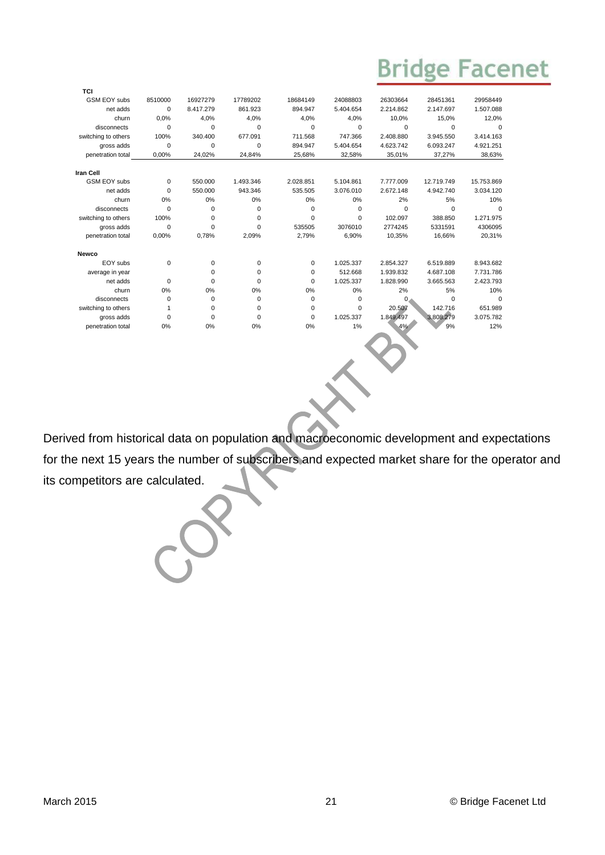| TCI                 |             |             |             |             |             |              |            |            |
|---------------------|-------------|-------------|-------------|-------------|-------------|--------------|------------|------------|
| <b>GSM EOY subs</b> | 8510000     | 16927279    | 17789202    | 18684149    | 24088803    | 26303664     | 28451361   | 29958449   |
| net adds            | 0           | 8.417.279   | 861.923     | 894.947     | 5.404.654   | 2.214.862    | 2.147.697  | 1.507.088  |
| churn               | 0.0%        | 4.0%        | 4.0%        | 4.0%        | 4.0%        | 10.0%        | 15.0%      | 12,0%      |
| disconnects         | 0           | $\mathbf 0$ | $\mathbf 0$ | $\Omega$    | $\Omega$    | $\Omega$     | 0          | $\Omega$   |
| switching to others | 100%        | 340.400     | 677.091     | 711.568     | 747.366     | 2.408.880    | 3.945.550  | 3.414.163  |
| gross adds          | 0           | $\mathbf 0$ | $\mathbf 0$ | 894.947     | 5.404.654   | 4.623.742    | 6.093.247  | 4.921.251  |
| penetration total   | 0.00%       | 24,02%      | 24,84%      | 25,68%      | 32,58%      | 35,01%       | 37,27%     | 38,63%     |
| <b>Iran Cell</b>    |             |             |             |             |             |              |            |            |
| <b>GSM EOY subs</b> | $\mathbf 0$ | 550.000     | 1.493.346   | 2.028.851   | 5.104.861   | 7.777.009    | 12.719.749 | 15.753.869 |
| net adds            | $\Omega$    | 550.000     | 943.346     | 535.505     | 3.076.010   | 2.672.148    | 4.942.740  | 3.034.120  |
| churn               | 0%          | 0%          | 0%          | 0%          | 0%          | 2%           | 5%         | 10%        |
| disconnects         | 0           | $\mathbf 0$ | $\mathbf 0$ | $\Omega$    | $\mathbf 0$ | $\mathbf 0$  | 0          | $\Omega$   |
| switching to others | 100%        | $\mathbf 0$ | $\mathbf 0$ | $\Omega$    | $\Omega$    | 102.097      | 388.850    | 1.271.975  |
| gross adds          | 0           | $\mathbf 0$ | $\mathbf 0$ | 535505      | 3076010     | 2774245      | 5331591    | 4306095    |
| penetration total   | 0.00%       | 0.78%       | 2,09%       | 2.79%       | 6.90%       | 10.35%       | 16.66%     | 20,31%     |
| Newco               |             |             |             |             |             |              |            |            |
| EOY subs            | 0           | $\mathbf 0$ | 0           | $\mathbf 0$ | 1.025.337   | 2.854.327    | 6.519.889  | 8.943.682  |
| average in year     |             | 0           | 0           | 0           | 512.668     | 1.939.832    | 4.687.108  | 7.731.786  |
| net adds            | $\Omega$    | $\mathbf 0$ | $\mathbf 0$ | $\Omega$    | 1.025.337   | 1.828.990    | 3.665.563  | 2.423.793  |
| churn               | 0%          | 0%          | 0%          | 0%          | 0%          | 2%           | 5%         | 10%        |
| disconnects         | 0           | 0           | 0           | 0           | $\mathbf 0$ | $\mathbf{0}$ | $\Omega$   | $\Omega$   |
| switching to others | 1           | $\mathbf 0$ | 0           | $\Omega$    | $\Omega$    | 20.507       | 142.716    | 651.989    |
| gross adds          | 0           | $\mathbf 0$ | $\mathbf 0$ | $\mathbf 0$ | 1.025.337   | 1.849.497    | 3.808.279  | 3.075.782  |
| penetration total   | 0%          | 0%          | 0%          | 0%          | 1%          | 4%           | 9%         | 12%        |
|                     |             |             |             |             |             |              |            |            |

Derived from historical data on population and macroeconomic development and expectations for the next 15 years the number of subscribers and expected market share for the operator and its competitors are calculated.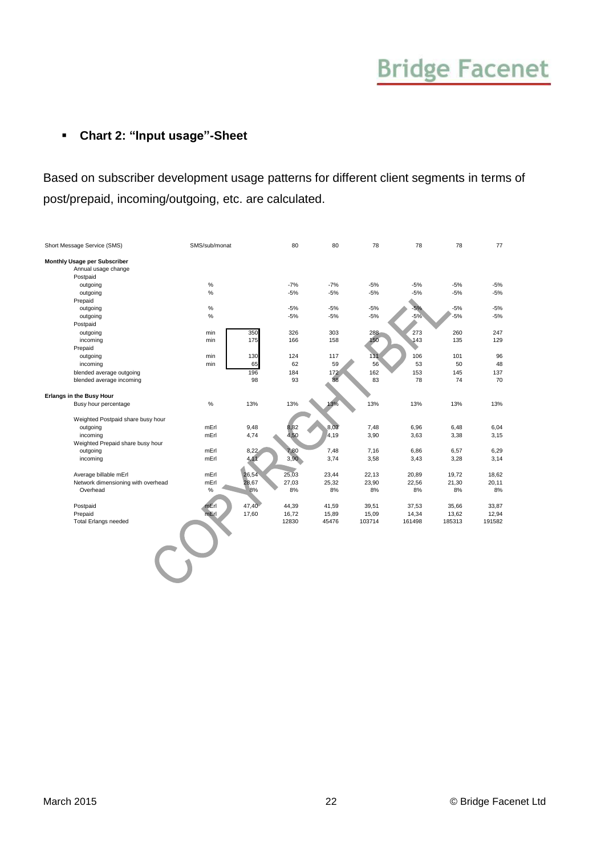### **Chart 2: "Input usage"-Sheet**

Based on subscriber development usage patterns for different client segments in terms of post/prepaid, incoming/outgoing, etc. are calculated.

| Short Message Service (SMS)        | SMS/sub/monat |       | 80    | 80    | 78     | 78     | 78     | 77     |
|------------------------------------|---------------|-------|-------|-------|--------|--------|--------|--------|
| Monthly Usage per Subscriber       |               |       |       |       |        |        |        |        |
| Annual usage change                |               |       |       |       |        |        |        |        |
| Postpaid                           |               |       |       |       |        |        |        |        |
| outgoing                           | $\%$          |       | $-7%$ | $-7%$ | $-5%$  | $-5%$  | $-5%$  | $-5%$  |
| outgoing                           | $\%$          |       | $-5%$ | $-5%$ | $-5%$  | $-5%$  | $-5%$  | $-5%$  |
| Prepaid                            |               |       |       |       |        |        |        |        |
| outgoing                           | $\%$          |       | $-5%$ | $-5%$ | $-5%$  | $-5%$  | $-5%$  | $-5%$  |
| outgoing                           | %             |       | $-5%$ | $-5%$ | $-5%$  | $-5%$  | $-5%$  | $-5%$  |
| Postpaid                           |               |       |       |       |        |        |        |        |
| outgoing                           | min           | 350   | 326   | 303   | 288    | 273    | 260    | 247    |
| incoming                           | min           | 175   | 166   | 158   | 150    | 143    | 135    | 129    |
| Prepaid                            |               |       |       |       |        |        |        |        |
| outgoing                           | min           | 130   | 124   | 117   | 111    | 106    | 101    | 96     |
| incoming                           | min           | 65    | 62    | 59    | 56     | 53     | 50     | 48     |
| blended average outgoing           |               | 196   | 184   | 172   | 162    | 153    | 145    | 137    |
| blended average incoming           |               | 98    | 93    | 88    | 83     | 78     | 74     | 70     |
|                                    |               |       |       |       |        |        |        |        |
| <b>Erlangs in the Busy Hour</b>    |               |       |       |       |        |        |        |        |
| Busy hour percentage               | $\%$          | 13%   | 13%   | 13%   | 13%    | 13%    | 13%    | 13%    |
|                                    |               |       |       |       |        |        |        |        |
| Weighted Postpaid share busy hour  |               |       |       |       |        |        |        |        |
| outgoing                           | mErl          | 9,48  | 8,82  | 8,03  | 7,48   | 6,96   | 6,48   | 6,04   |
| incoming                           | mErl          | 4,74  | 4,50  | 4,19  | 3,90   | 3,63   | 3,38   | 3,15   |
| Weighted Prepaid share busy hour   |               |       |       |       |        |        |        |        |
| outgoing                           | mErl          | 8,22  | 7,80  | 7,48  | 7,16   | 6,86   | 6,57   | 6,29   |
| incoming                           | mErl          | 4,11  | 3,90  | 3,74  | 3,58   | 3,43   | 3,28   | 3,14   |
|                                    |               |       |       |       |        |        |        |        |
| Average billable mErl              | mErl          | 26,54 | 25,03 | 23,44 | 22,13  | 20,89  | 19,72  | 18,62  |
| Network dimensioning with overhead | mErl          | 28,67 | 27,03 | 25,32 | 23,90  | 22,56  | 21,30  | 20,11  |
| Overhead                           | %             | 8%    | 8%    | 8%    | 8%     | 8%     | 8%     | 8%     |
|                                    |               |       |       |       |        |        |        |        |
| Postpaid                           | $mE$ rl       | 47,40 | 44,39 | 41,59 | 39,51  | 37,53  | 35,66  | 33,87  |
| Prepaid                            | mErl          | 17,60 | 16,72 | 15,89 | 15,09  | 14,34  | 13,62  | 12,94  |
| <b>Total Erlangs needed</b>        |               |       | 12830 | 45476 | 103714 | 161498 | 185313 | 191582 |
|                                    |               |       |       |       |        |        |        |        |
|                                    |               |       |       |       |        |        |        |        |
|                                    |               |       |       |       |        |        |        |        |
|                                    |               |       |       |       |        |        |        |        |
|                                    |               |       |       |       |        |        |        |        |
|                                    |               |       |       |       |        |        |        |        |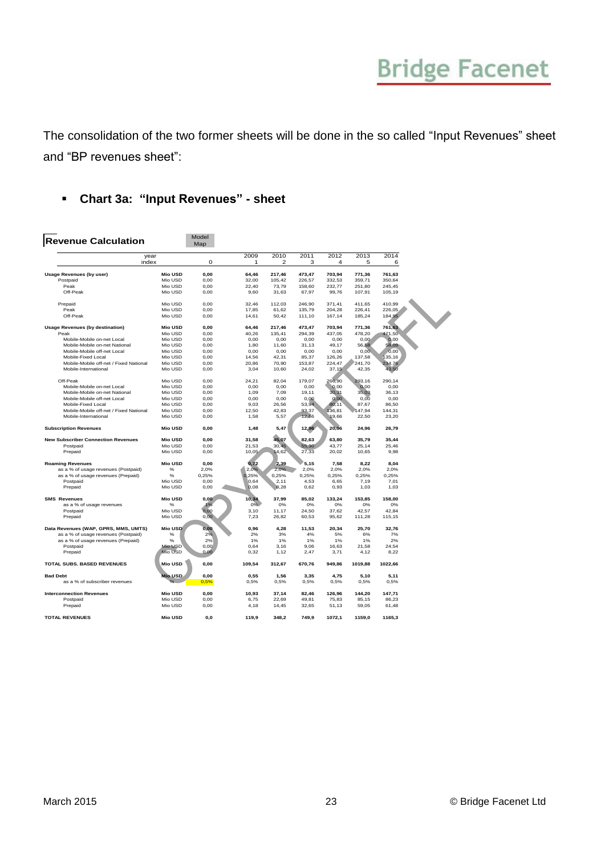The consolidation of the two former sheets will be done in the so called "Input Revenues" sheet and "BP revenues sheet":

### **Chart 3a: "Input Revenues" - sheet**

| <b>Revenue Calculation</b>                |                | Model<br>Map |           |                        |           |           |           |           |
|-------------------------------------------|----------------|--------------|-----------|------------------------|-----------|-----------|-----------|-----------|
| year<br>index                             |                | 0            | 2009<br>1 | 2010<br>$\overline{2}$ | 2011<br>3 | 2012<br>4 | 2013<br>5 | 2014<br>6 |
|                                           |                |              |           |                        |           |           |           |           |
| <b>Usage Revenues (by user)</b>           | <b>Mio USD</b> | 0,00         | 64,46     | 217,46                 | 473,47    | 703,94    | 771,36    | 761,63    |
| Postpaid                                  | Mio USD        | 0,00         | 32,00     | 105,42                 | 226,57    | 332,53    | 359,71    | 350,64    |
| Peak                                      | Mio USD        | 0,00         | 22,40     | 73,79                  | 158.60    | 232,77    | 251.80    | 245,45    |
| Off-Peak                                  | Mio USD        | 0,00         | 9,60      | 31,63                  | 67,97     | 99,76     | 107,91    | 105,19    |
| Prepaid                                   | Mio USD        | 0.00         | 32.46     | 112,03                 | 246,90    | 371,41    | 411,65    | 410,99    |
| Peak                                      | Mio USD        | 0,00         | 17,85     | 61,62                  | 135,79    | 204,28    | 226,41    | 226,05    |
| Off-Peak                                  | Mio USD        | 0,00         | 14,61     | 50,42                  | 111,10    | 167,14    | 185,24    | 184,95    |
| <b>Usage Revenues (by destination)</b>    | <b>Mio USD</b> | 0,00         | 64,46     | 217,46                 | 473,47    | 703,94    | 771,36    | 761,63    |
| Peak                                      | Mio USD        | 0,00         | 40,26     | 135,41                 | 294,39    | 437,05    | 478,20    | 471,50    |
| Mobile-Mobile on-net Local                | Mio USD        | 0.00         | 0.00      | 0.00                   | 0.00      | 0.00      | 0.00      | 0.00      |
| Mobile-Mobile on-net National             | Mio USD        | 0,00         | 1,80      | 11,60                  | 31,13     | 49,17     | 56,58     | 58,09     |
| Mobile-Mobile off-net Local               | Mio USD        | 0.00         | 0.00      | 0,00                   | 0.00      | 0.00      | 0,00      | 0,00      |
|                                           |                |              |           |                        |           |           |           |           |
| Mobile-Fixed Local                        | Mio USD        | 0,00         | 14.56     | 42.31                  | 85.37     | 126,26    | 137,58    | 135,16    |
| Mobile-Mobile off-net / Fixed National    | Mio USD        | 0,00         | 20,86     | 70,90                  | 153,87    | 224,47    | 241,70    | 234,76    |
| Mobile-International                      | Mio USD        | 0,00         | 3,04      | 10,60                  | 24,02     | 37,15     | 42,35     | 43,50     |
| Off-Peak                                  | Mio USD        | 0,00         | 24,21     | 82,04                  | 179,07    | 266,90    | 293,16    | 290,14    |
| Mobile-Mobile on-net Local                | Mio USD        | 0.00         | 0,00      | 0.00                   | 0.00      | 0,00      | 0,00      | 0.00      |
| Mobile-Mobile on-net National             | Mio USD        | 0.00         | 1.09      | 7.09                   | 19.11     | 30,31     | 35,03     | 36.13     |
| Mobile-Mobile off-net Local               | Mio USD        | 0,00         | 0,00      | 0,00                   | 0,00      | 0,00      | 0,00      | 0,00      |
| Mobile-Fixed Local                        | Mio USD        | 0.00         | 9.03      | 26.56                  | 53,94     | 80,11     | 87,67     | 86,50     |
| Mobile-Mobile off-net / Fixed National    | Mio USD        | 0.00         | 12.50     | 42.83                  | 93,37     | 136,81    | 47.94     | 144.31    |
| Mobile-International                      | Mio USD        | 0,00         | 1,58      | 5,57                   | 12,66     | 19,66     | 22,50     | 23,20     |
| <b>Subscription Revenues</b>              | <b>Mio USD</b> | 0,00         | 1,48      | 5,47                   | 12,96     | 20,96     | 24,96     | 26,79     |
| <b>New Subscriber Connection Revenues</b> | <b>Mio USD</b> | 0.00         | 31.58     | 45,07                  | 82.63     | 63.80     | 35.79     | 35.44     |
| Postpaid                                  | Mio USD        | 0,00         | 21,53     | 30,45                  | 55,30     | 43,77     | 25,14     | 25,46     |
| Prepaid                                   | Mio USD        | 0,00         | 10,05     | 14,62                  | 27,33     | 20,02     | 10,65     | 9,98      |
|                                           |                |              |           |                        |           |           |           |           |
| <b>Roaming Revenues</b>                   | <b>Mio USD</b> | 0,00         | 0,72      | 2,39                   | 5,15      | 7,58      | 8,22      | 8,04      |
| as a % of usage revenues (Postpaid)       | %              | 2,0%         | 2.0%      | 2.0%                   | 2.0%      | 2.0%      | 2.0%      | 2.0%      |
| as a % of usage revenues (Prepaid)        | $\%$           | 0,25%        | 0.25%     | 0,25%                  | 0,25%     | 0,25%     | 0,25%     | 0,25%     |
| Postpaid                                  | Mio USD        | 0,00         | 0.64      | 2,11                   | 4,53      | 6,65      | 7,19      | 7,01      |
| Prepaid                                   | Mio USD        | 0,00         | 0.08      | 0,28                   | 0,62      | 0,93      | 1,03      | 1,03      |
| <b>SMS Revenues</b>                       | <b>Mio USD</b> | 0,00         | 10,34     | 37,99                  | 85,02     | 133,24    | 153,85    | 158,00    |
| as a % of usage revenues                  | %              | 1%           | 0%        | 0%                     | 0%        | 0%        | 0%        | 0%        |
| Postpaid                                  | Mio USD        | 0.00         | 3.10      | 11.17                  | 24.50     | 37.62     | 42.57     | 42.84     |
| Prepaid                                   | Mio USD        | 0,00         | 7,23      | 26,82                  | 60,53     | 95,62     | 111,28    | 115,15    |
| Data Revenues (WAP, GPRS, MMS, UMTS)      | <b>Mio USD</b> | 0,00         | 0,96      | 4,28                   | 11,53     | 20,34     | 25,70     | 32,76     |
| as a % of usage revenues (Postpaid)       | $\%$           | 2%           | 2%        | 3%                     | 4%        | 5%        | 6%        | 7%        |
|                                           |                |              |           |                        |           |           |           |           |
| as a % of usage revenues (Prepaid)        | %              | 2%           | 1%        | 1%                     | 1%        | 1%        | 1%        | 2%        |
| Postpaid                                  | Mio USD        | 0.00         | 0.64      | 3.16                   | 9.06      | 16.63     | 21.58     | 24.54     |
| Prepaid                                   | Mio USD        | 0,00         | 0,32      | 1,12                   | 2,47      | 3,71      | 4,12      | 8,22      |
| TOTAL SUBS. BASED REVENUES                | <b>Mio USD</b> | 0,00         | 109,54    | 312,67                 | 670,76    | 949,86    | 1019,88   | 1022,66   |
| <b>Bad Debt</b>                           | Mio USD        | 0.00         | 0.55      | 1,56                   | 3.35      | 4.75      | 5,10      | 5,11      |
| as a % of subscriber revenues             |                | 0.5%         | 0,5%      | 0,5%                   | 0,5%      | 0,5%      | 0,5%      | 0,5%      |
| <b>Interconnection Revenues</b>           | <b>Mio USD</b> | 0,00         | 10,93     | 37,14                  | 82,46     | 126,96    | 144,20    | 147,71    |
| Postpaid                                  | Mio USD        | 0,00         | 6,75      | 22,69                  | 49.81     | 75,83     | 85,15     | 86,23     |
|                                           | Mio USD        |              |           |                        |           |           |           |           |
| Prepaid                                   |                | 0,00         | 4,18      | 14,45                  | 32,65     | 51,13     | 59,05     | 61,48     |
| <b>TOTAL REVENUES</b>                     | <b>Mio USD</b> | 0,0          | 119,9     | 348,2                  | 749,9     | 1072,1    | 1159,0    | 1165,3    |
|                                           |                |              |           |                        |           |           |           |           |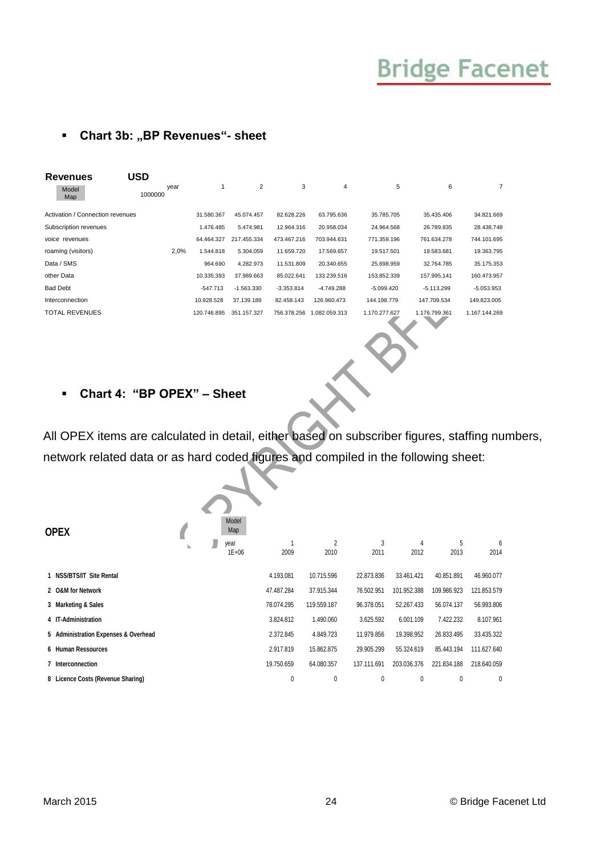### **F** Chart 3b: "BP Revenues"- sheet

| <b>Revenues</b>                  | USD             |             |              |              |              |               |                                              |               |
|----------------------------------|-----------------|-------------|--------------|--------------|--------------|---------------|----------------------------------------------|---------------|
| Model<br>Map                     | year<br>1000000 |             | 2            | 3            | 4            | 5             | 6                                            | 7             |
| Activation / Connection revenues |                 | 31.580.367  | 45.074.457   | 82.628.226   | 63.795.636   | 35.785.705    | 35.435.406                                   | 34.821.669    |
| Subscription revenues            |                 | 1.476.485   | 5.474.981    | 12.964.316   | 20.958.034   | 24.964.568    | 26.789.835                                   | 28.438.748    |
| voice revenues                   |                 | 64.464.327  | 217.455.334  | 473.467.216  | 703.944.631  | 771.359.196   | 761.634.278                                  | 744.101.695   |
| roaming (visitors)               | 2,0%            | 1.544.818   | 5.304.059    | 11.659.720   | 17.569.657   | 19.517.501    | 19.583.681                                   | 19.363.795    |
| Data / SMS                       |                 | 964.690     | 4.282.973    | 11.531.809   | 20.340.655   | 25.698.959    | 32.764.785                                   | 35.175.353    |
| other Data                       |                 | 10.335.393  | 37.989.663   | 85.022.641   | 133.239.516  | 153.852.339   | 157.995.141                                  | 160.473.957   |
| <b>Bad Debt</b>                  |                 | $-547.713$  | $-1.563.330$ | $-3.353.814$ | $-4.749.288$ | $-5.099.420$  | $-5.113.299$                                 | $-5.053.953$  |
| Interconnection                  |                 | 10.928.528  | 37.139.189   | 82.458.143   | 126.960.473  | 144.198.779   | 147.709.534                                  | 149.823.005   |
| <b>TOTAL REVENUES</b>            |                 | 120.746.895 | 351.157.327  | 756.378.256  | .082.059.313 | 1.170.277.627 | 1.176.799.361<br>$\mathcal{L} = \mathcal{L}$ | 1.167.144.269 |

#### **Chart 4: "BP OPEX" – Sheet**

All OPEX items are calculated in detail, either based on subscriber figures, staffing numbers, network related data or as hard coded figures and compiled in the following sheet:

| <b>OPEX</b>                          |  | Model<br>Map<br>year<br>$1E + 06$ | 2009       | $\overline{2}$<br>2010 | 3<br>2011   | 4<br>2012   | 5<br>2013   | 6<br>2014   |
|--------------------------------------|--|-----------------------------------|------------|------------------------|-------------|-------------|-------------|-------------|
| 1 NSS/BTS/IT Site Rental             |  |                                   | 4.193.081  | 10.715.596             | 22.873.836  | 33.461.421  | 40.851.891  | 46.960.077  |
| 2 O&M for Network                    |  |                                   | 47.487.284 | 37.915.344             | 76.502.951  | 101.952.388 | 109.986.923 | 121.853.579 |
| 3 Marketing & Sales                  |  |                                   | 78.074.295 | 119.559.187            | 96.378.051  | 52.267.433  | 56.074.137  | 56.993.806  |
| 4 IT-Administration                  |  |                                   | 3.824.812  | 1.490.060              | 3.625.592   | 6.001.109   | 7.422.232   | 8.107.961   |
| 5 Administration Expenses & Overhead |  |                                   | 2.372.845  | 4.849.723              | 11.979.856  | 19.398.952  | 26.833.495  | 33.435.322  |
| 6 Human Ressources                   |  |                                   | 2.917.819  | 15.862.875             | 29.905.299  | 55.324.619  | 85.443.194  | 111.627.640 |
| 7 Interconnection                    |  |                                   | 19.750.659 | 64.080.357             | 137.111.691 | 203.036.376 | 221.834.188 | 218.640.059 |
| 8 Licence Costs (Revenue Sharing)    |  |                                   | 0          | 0                      | 0           | 0           | 0           | 0           |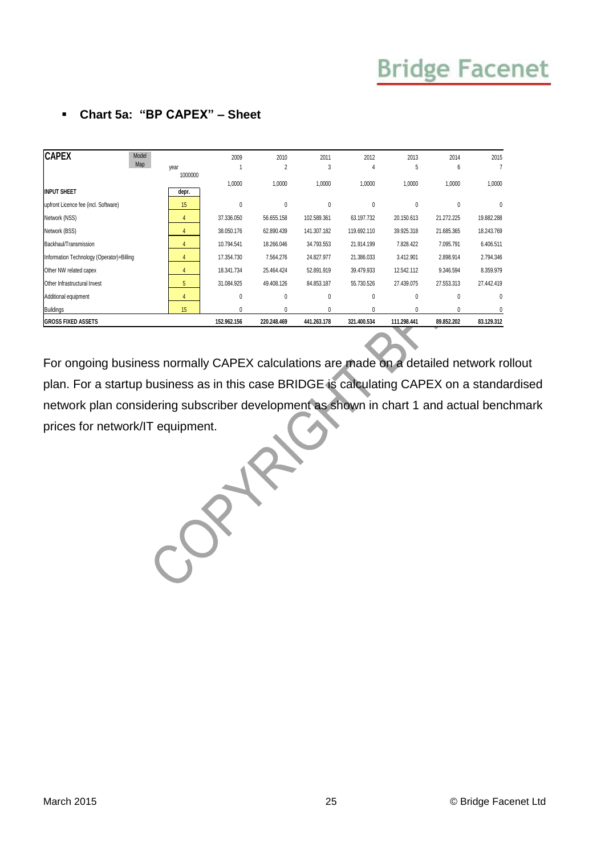| <b>CAPEX</b><br>Model<br>Map              |                 | 2009        | 2010           | 2011        | 2012         | 2013        | 2014         | 2015       |
|-------------------------------------------|-----------------|-------------|----------------|-------------|--------------|-------------|--------------|------------|
|                                           | year<br>1000000 |             | $\overline{2}$ | 3           | 4            | 5           | 6            |            |
|                                           |                 | 1,0000      | 1,0000         | 1,0000      | 1,0000       | 1,0000      | 1,0000       | 1,0000     |
| <b>INPUT SHEET</b>                        | depr.           |             |                |             |              |             |              |            |
| upfront Licence fee (incl. Software)      | 15              | 0           | 0              | 0           | 0            | 0           | 0            | 0          |
| Network (NSS)                             | 4               | 37.336.050  | 56.655.158     | 102.589.361 | 63.197.732   | 20.150.613  | 21.272.225   | 19.882.288 |
| Network (BSS)                             |                 | 38.050.176  | 62.890.439     | 141.307.182 | 119.692.110  | 39.925.318  | 21.685.365   | 18.243.769 |
| Backhaul/Transmission                     | 4               | 10.794.541  | 18.266.046     | 34.793.553  | 21.914.199   | 7.828.422   | 7.095.791    | 6.406.511  |
| Information Technology (Operator)+Billing | 4               | 17.354.730  | 7.564.276      | 24.827.977  | 21.386.033   | 3.412.901   | 2.898.914    | 2.794.346  |
| Other NW related capex                    | 4               | 18.341.734  | 25.464.424     | 52.891.919  | 39.479.933   | 12.542.112  | 9.346.594    | 8.359.979  |
| Other Infrastructural Invest              | 5               | 31.084.925  | 49.408.126     | 84.853.187  | 55.730.526   | 27.439.075  | 27.553.313   | 27.442.419 |
| Additional equipment                      | 4               | 0           | 0              | 0           | $\mathbf{0}$ | 0           | $\mathbf{0}$ | 0          |
| <b>Buildings</b>                          | 15              | 0           | 0              | 0           | 0            | 0           | 0            |            |
| <b>GROSS FIXED ASSETS</b>                 |                 | 152.962.156 | 220.248.469    | 441.263.178 | 321.400.534  | 111.298.441 | 89.852.202   | 83.129.312 |

### **Chart 5a: "BP CAPEX" – Sheet**

For ongoing business normally CAPEX calculations are made on a detailed network rollout plan. For a startup business as in this case BRIDGE is calculating CAPEX on a standardised network plan considering subscriber development as shown in chart 1 and actual benchmark prices for network/IT equipment.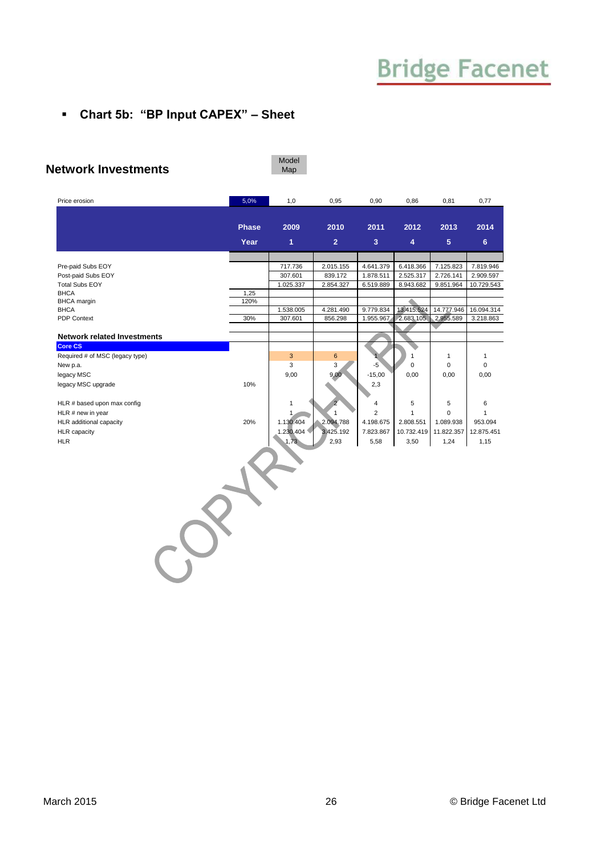### **Chart 5b: "BP Input CAPEX" – Sheet**

#### **Network Investments**

Model Map

| Price erosion                        | 5,0%         | 1,0               | 0,95           | 0,90           | 0,86                    | 0,81            | 0,77           |
|--------------------------------------|--------------|-------------------|----------------|----------------|-------------------------|-----------------|----------------|
|                                      |              |                   |                |                |                         |                 |                |
|                                      | <b>Phase</b> | 2009              | 2010           | 2011           | 2012                    | 2013            | 2014           |
|                                      | Year         | $\overline{1}$    | $\overline{2}$ | $\overline{3}$ | $\overline{\mathbf{4}}$ | $5\phantom{.0}$ | 6 <sup>5</sup> |
|                                      |              |                   |                |                |                         |                 |                |
| Pre-paid Subs EOY                    |              | 717.736           | 2.015.155      | 4.641.379      | 6.418.366               | 7.125.823       | 7.819.946      |
| Post-paid Subs EOY                   |              | 307.601           | 839.172        | 1.878.511      | 2.525.317               | 2.726.141       | 2.909.597      |
| <b>Total Subs EOY</b><br><b>BHCA</b> | 1,25         | 1.025.337         | 2.854.327      | 6.519.889      | 8.943.682               | 9.851.964       | 10.729.543     |
| <b>BHCA</b> margin                   | 120%         |                   |                |                |                         |                 |                |
| <b>BHCA</b>                          |              | 1.538.005         | 4.281.490      | 9.779.834      | 13.415.524              | 14.777.946      | 16.094.314     |
| <b>PDP Context</b>                   | 30%          | 307.601           | 856.298        | 1.955.967      | 2.683.105               | 2.955.589       | 3.218.863      |
| <b>Network related Investments</b>   |              |                   |                |                |                         |                 |                |
| <b>Core CS</b>                       |              |                   |                |                |                         |                 |                |
| Required # of MSC (legacy type)      |              | 3                 | 6              |                | 1                       | $\mathbf{1}$    | $\mathbf{1}$   |
| New p.a.                             |              | 3                 | 3              | $-5$           | 0                       | $\mathsf 0$     | $\mathbf 0$    |
| legacy MSC                           |              | 9,00              | 9,00           | $-15,00$       | 0,00                    | 0,00            | 0,00           |
| legacy MSC upgrade                   | 10%          |                   |                | 2,3            |                         |                 |                |
|                                      |              |                   |                |                |                         |                 |                |
| HLR # based upon max config          |              | 1                 |                | 4              | 5                       | 5               | 6              |
| HLR # new in year                    |              | 1                 | $\mathbf{1}$   | $\overline{2}$ | $\mathbf{1}$            | $\mathbf 0$     | $\mathbf{1}$   |
| HLR additional capacity              | 20%          | 1.130.404         | 2.094.788      | 4.198.675      | 2.808.551               | 1.089.938       | 953.094        |
| <b>HLR</b> capacity                  |              | 1.230.404<br>1,73 | 3.425.192      | 7.823.867      | 10.732.419              | 11.822.357      | 12.875.451     |
| <b>HLR</b>                           |              |                   | 2,93           | 5,58           | 3,50                    | 1,24            | 1,15           |
|                                      |              |                   |                |                |                         |                 |                |
|                                      |              |                   |                |                |                         |                 |                |
|                                      |              |                   |                |                |                         |                 |                |
|                                      |              |                   |                |                |                         |                 |                |
|                                      |              |                   |                |                |                         |                 |                |
|                                      |              |                   |                |                |                         |                 |                |
|                                      |              |                   |                |                |                         |                 |                |
|                                      |              |                   |                |                |                         |                 |                |
|                                      |              |                   |                |                |                         |                 |                |
|                                      |              |                   |                |                |                         |                 |                |
|                                      |              |                   |                |                |                         |                 |                |
|                                      |              |                   |                |                |                         |                 |                |
|                                      |              |                   |                |                |                         |                 |                |
|                                      |              |                   |                |                |                         |                 |                |
|                                      |              |                   |                |                |                         |                 |                |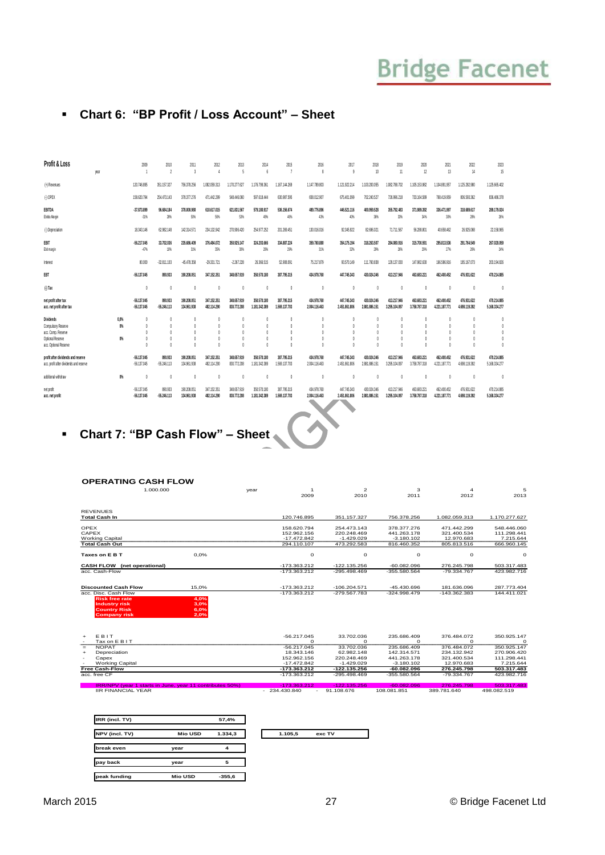#### **Chart 6: "BP Profit / Loss Account" – Sheet**

| Profit & Loss                                                                                             | year | 2009                                                                         | 2010<br>$\overline{\phantom{a}}$                               | 2011<br>$\overline{3}$                                   | 2012                       | 2013<br>5                                         | 2014                         | 2015                         | 2016<br>8                                  | 2017<br>Q                    | 2018<br>10                     | 2019<br>11                                                   | 2020<br>12                                               | 2021<br>13                   | 2022<br>14                                               | 2023<br>15                   |
|-----------------------------------------------------------------------------------------------------------|------|------------------------------------------------------------------------------|----------------------------------------------------------------|----------------------------------------------------------|----------------------------|---------------------------------------------------|------------------------------|------------------------------|--------------------------------------------|------------------------------|--------------------------------|--------------------------------------------------------------|----------------------------------------------------------|------------------------------|----------------------------------------------------------|------------------------------|
| (+) Revenues                                                                                              |      | 120,746,895                                                                  | 351.157.327                                                    | 756,378,256                                              | 1.082.059.313              | 1.170.277.627                                     | 1.176.799.361                | 1.167.144.269                | 1.147.789.803                              | 1.121.922.214                | 1.103.200.055                  | 1.082.788.702                                                | 1.105.153.982                                            | 1.104.891.957                | 1.125.282.980                                            | 1.125.665.402                |
| $(.)$ OPEX                                                                                                |      | 158,620.794                                                                  | 254.473.143                                                    | 378,377,276                                              | 471.442.299                | 548,446,060                                       | 597.618.444                  | 630.987.595                  | 658.012.907                                | 675.401.099                  | 702.240.527                    | 726.996.218                                                  | 733.164.589                                              | 768.419.959                  | 806,593,362                                              | 836,486,378                  |
| <b>EBITDA</b><br>Ebitda Maroin                                                                            |      | 37.873.899<br>$-31%$                                                         | 96,684,184<br>28%                                              | 378,000,980<br>50%                                       | 610.617.015<br>56%         | 621.831.567<br>53%                                | 579.180.917<br>49%           | 536.156.674<br>46%           | 489.776.896<br>43%                         | 446.521.116<br>40%           | 400,959,528<br>36%             | 355.792.483<br>33%                                           | 371,989,392<br>34%                                       | 336.471.997<br>30%           | 318,689.617<br>28%                                       | 289.179.024<br>26%           |
| (-) Depreciation                                                                                          |      | 18.343.146                                                                   | 62.982.148                                                     | 142.314.571                                              | 234.132.942                | 270.906.420                                       | 254,977,252                  | 201.269.451                  | 130.016.016                                | 92.345.922                   | 82,696,021                     | 71.711.567                                                   | 56,288.801                                               | 40.658.462                   | 26,925,068                                               | 22.158.965                   |
| EBIT<br>Ebitmargin                                                                                        |      | -56,217,045<br>$-47%$                                                        | 33.702.036<br>10%                                              | 235,686,409<br>31%                                       | 376,484.072<br>35%         | 350.925.147<br>30%                                | 324.203.666<br>28%           | 334.887.224<br>29%           | 359,760,880<br>31%                         | 354.175.194<br>32%           | 318,263.507<br>29%             | 284.080.916<br>26%                                           | 315.700.591<br>29%                                       | 295.813.536<br>27%           | 291.764.549<br>26%                                       | 267.020.059<br>24%           |
| Interest                                                                                                  |      | 80,000                                                                       | $-32.811.103$                                                  | -45.478.358                                              | $-29.331.721$              | $-2,267,228$                                      | 26,366,515                   | 52,908.091                   | 75,217,879                                 | 93.570.149                   | 111,760,838                    | 129.137.030                                                  | 147,982,630                                              | 166,586,916                  | 185, 167, 073                                            | 203.194.826                  |
| EBT                                                                                                       |      | -56,137,045                                                                  | 890.933                                                        | 190.208.051                                              | 347.152.351                | 348,657,919                                       | 350.570.180                  | 387.795.315                  | 434.978.760                                | 447.745.343                  | 430.024.346                    | 413.217.946                                                  | 463,683,221                                              | 462.400.452                  | 476.931.622                                              | 470.214.885                  |
| $(\cdot)$ Tax                                                                                             |      | $\theta$                                                                     | $\sqrt{2}$                                                     | $\theta$                                                 |                            | $\theta$                                          |                              | $\theta$                     | $\theta$                                   | 0                            | $\theta$                       | $\theta$                                                     | $\theta$                                                 | $\theta$                     | $\theta$                                                 | $\theta$                     |
| net profit after tax<br>acc. net profit after tax                                                         |      | -56,137,045<br>-56.137.045                                                   | 890.933<br>$-55.246.113$                                       | 190.208.051<br>134,961,938                               | 347.152.351<br>482.114.290 | 348,657,919<br>830.772.208                        | 350.570.180<br>1.181.342.389 | 387.795.315<br>1,569.137.703 | 434.978.760<br>2.004.116.463               | 447.745.343<br>2.451.861.806 | 430.024.346<br>2.881.886.151   | 413.217.946<br>3.295.104.097                                 | 463.683.221<br>3.758.787.318                             | 462.400.452<br>4.221.187.771 | 476.931.622<br>4,698.119.392                             | 470.214.885<br>5.168.334.277 |
| <b>Dividends</b><br>Compulsory Reserve<br>acc. Comp. Reserve<br>Optional Reserve<br>acc. Octional Reserve |      | 0.0%<br>$\theta$<br>O%<br>$\theta$<br>$\theta$<br>O%<br>$\theta$<br>$\theta$ | $\sqrt{2}$<br>$\sqrt{2}$<br>$\sqrt{2}$<br>$\theta$<br>$\theta$ | $\theta$<br>$\theta$<br>$\theta$<br>$\theta$<br>$\theta$ |                            | O<br>$\theta$<br>$\theta$<br>$\theta$<br>$\theta$ |                              | Λ                            | $\theta$<br>$\theta$<br>0<br>0<br>$\theta$ |                              | ß<br>O<br>$\theta$<br>$\theta$ | $\mathbf{r}$<br>$\theta$<br>$\theta$<br>$\theta$<br>$\theta$ | $\theta$<br>$\theta$<br>$\theta$<br>$\theta$<br>$\theta$ | n<br>Λ<br>n                  | $\theta$<br>$\theta$<br>$\theta$<br>$\theta$<br>$\theta$ | $\mathbf{r}$                 |
| profit after dividends and reserve<br>acc. profit after dividends and reserve                             |      | -56.137.045<br>$-56,137,045$                                                 | 890.933<br>$-55.246.113$                                       | 190.208.051<br>134,961,938                               | 347.152.351<br>482.114.290 | 348,657,919<br>830.772.208                        | 350,570,180<br>1.181.342.389 | 387.795.315<br>1,569,137,703 | 434.978.760<br>2.004.116.463               | 447.745.343<br>2.451.861.806 | 430.024.346<br>2.881.886.151   | 413.217.946<br>3,295,104,097                                 | 463,683,221<br>3.758.787.318                             | 462.400.452<br>4.221.187.771 | 476.931.622<br>4,698.119.392                             | 470.214.885<br>5.168.334.277 |
| additional withdraw                                                                                       |      | O%<br>$\theta$                                                               | $\theta$                                                       | 0                                                        | $\theta$                   | $\theta$                                          |                              | $\theta$                     | 0                                          | $\theta$                     | $\theta$                       | $\theta$                                                     | $\theta$                                                 | $\theta$                     | $\mathbf{0}$                                             | $\theta$                     |
| net profit<br>acc. net profit                                                                             |      | $-56.137.045$<br>-56,137,045                                                 | 890,933<br>$-55.246.113$                                       | 190.208.051<br>134,961,938                               | 347.152.351<br>482.114.290 | 348,657,919<br>830.772.208                        | 350,570.180<br>1.181.342.389 | 387.795.315<br>1,569,137,703 | 434,978,760<br>2.004.116.463               | 447.745.343<br>2.451.861.806 | 430.024.346<br>2,881,886.151   | 413,217,946<br>3.295.104.097                                 | 463.683.221<br>3.758.787.318                             | 462.400.452<br>4.221.187.771 | 476.931.622<br>4,698.119.392                             | 470.214.885<br>5.168.334.277 |

# **Chart 7: "BP Cash Flow" – Sheet**

| <b>OPERATING CASH FLOW</b>                                                                  |                              |                                                            |                                                           |                                                             |                                                         |                                                        |
|---------------------------------------------------------------------------------------------|------------------------------|------------------------------------------------------------|-----------------------------------------------------------|-------------------------------------------------------------|---------------------------------------------------------|--------------------------------------------------------|
| 1.000.000                                                                                   |                              | year<br>$\mathbf{1}$<br>2009                               | $\overline{2}$<br>2010                                    | 3<br>2011                                                   | 4<br>2012                                               | 5<br>2013                                              |
| <b>REVENUES</b><br><b>Total Cash In</b>                                                     |                              | 120.746.895                                                | 351.157.327                                               | 756.378.256                                                 | 1.082.059.313                                           | 1.170.277.627                                          |
| <b>OPEX</b><br>CAPEX<br><b>Working Capital</b><br><b>Total Cash Out</b>                     |                              | 158.620.794<br>152.962.156<br>$-17.472.842$<br>294.110.107 | 254.473.143<br>220.248.469<br>$-1.429.029$<br>473.292.583 | 378, 377, 276<br>441.263.178<br>$-3.180.102$<br>816,460,352 | 471.442.299<br>321.400.534<br>12.970.683<br>805.813.516 | 548.446.060<br>111.298.441<br>7.215.644<br>666.960.145 |
| Taxes on E B T                                                                              | 0.0%                         | $\Omega$                                                   | $\circ$                                                   | $\circ$                                                     | $\Omega$                                                | $\Omega$                                               |
| <b>CASH FLOW</b> (net operational)<br>acc. Cash-Flow                                        |                              | $-173.363.212$<br>-173.363.212                             | $-122.135.256$<br>-295.498.469                            | $-60.082.096$<br>$-355.580.564$                             | 276.245.798<br>-79.334.767                              | 503.317.483<br>423.982.716                             |
| <b>Discounted Cash Flow</b><br>acc. Disc. Cash Flow                                         | 15,0%                        | -173.363.212<br>$-173.363.212$                             | $-106.204.571$<br>$-279.567.783$                          | $-45.430.696$<br>$-324.998.479$                             | 181.636.096<br>$-143.362.383$                           | 287.773.404<br>144.411.021                             |
| <b>Risk free rate</b><br><b>Industry risk</b><br><b>Country Risk</b><br><b>Company risk</b> | 4,0%<br>3,0%<br>6,0%<br>2,0% |                                                            |                                                           |                                                             |                                                         |                                                        |
| <b>FBIT</b><br>÷<br>Tax on E B I T                                                          |                              | $-56.217.045$<br>$\Omega$                                  | 33.702.036<br>$\Omega$                                    | 235.686.409<br>$\Omega$                                     | 376.484.072<br>$\Omega$                                 | 350.925.147<br>$\Omega$                                |
| <b>NOPAT</b><br>$=$                                                                         |                              | $-56.217.045$                                              | 33,702,036                                                | 235,686,409                                                 | 376,484,072                                             | 350.925.147                                            |
| Depreciation<br>÷<br>Capex                                                                  |                              | 18.343.146<br>152.962.156                                  | 62.982.148<br>220.248.469                                 | 142.314.571<br>441.263.178                                  | 234.132.942<br>321.400.534                              | 270.906.420<br>111.298.441                             |
| <b>Working Capital</b>                                                                      |                              | $-17.472.842$                                              | $-1.429.029$                                              | $-3.180.102$                                                | 12.970.683                                              | 7.215.644                                              |
| <b>Free Cash-Flow</b>                                                                       |                              | $-173.363.212$                                             | $-122.135.256$                                            | $-60.082.096$                                               | 276.245.798                                             | 503.317.483                                            |
| acc. free CF                                                                                |                              | -173.363.212                                               | -295.498.469                                              | $-355.580.564$                                              | -79.334.767                                             | 423.982.716                                            |

IRR/NPV (year 1 starts in June, year 11 contributes 50%) -173.363.212 -122.135.256 -60.082.096 276.245.798 503.317.483 IIR FINANCIAL YEAR - 234.430.840 - 91.108.676 108.081.851 389.781.640 498.082.519

| IRR (incl. TV) |                | 57,4%    |         |        |
|----------------|----------------|----------|---------|--------|
| NPV (incl. TV) | <b>Mio USD</b> | 1.334,3  | 1.105,5 | exc TV |
| break even     | year           | 4        |         |        |
| pay back       | year           | 5        |         |        |
| peak funding   | <b>Mio USD</b> | $-355.6$ |         |        |